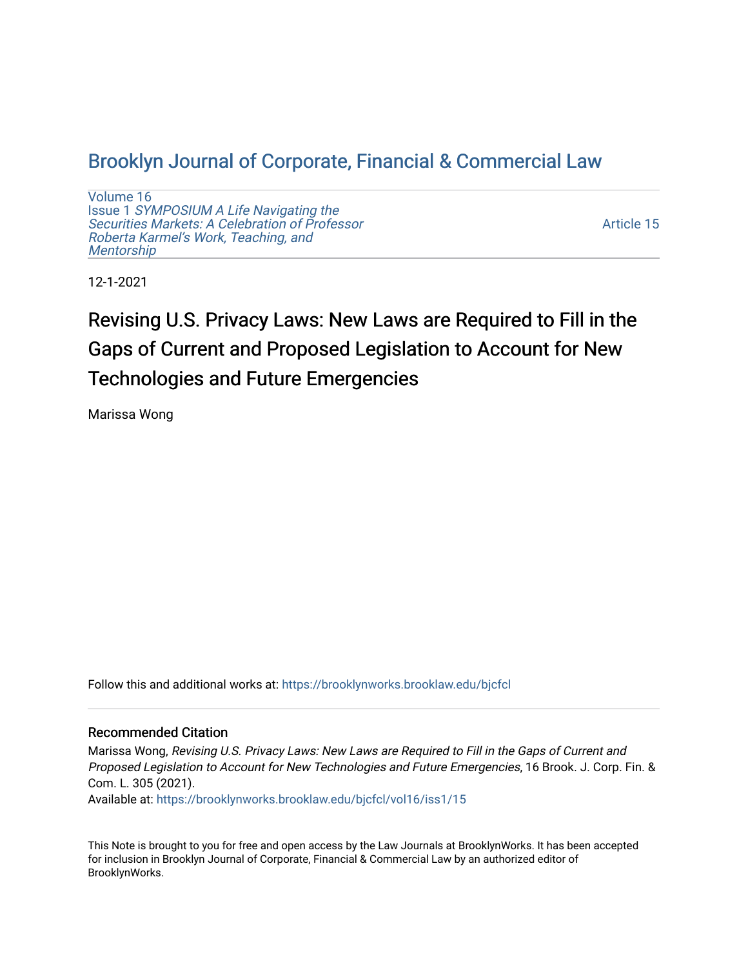# [Brooklyn Journal of Corporate, Financial & Commercial Law](https://brooklynworks.brooklaw.edu/bjcfcl)

[Volume 16](https://brooklynworks.brooklaw.edu/bjcfcl/vol16) Issue 1 [SYMPOSIUM A Life Navigating the](https://brooklynworks.brooklaw.edu/bjcfcl/vol16/iss1) [Securities Markets: A Celebration of Professor](https://brooklynworks.brooklaw.edu/bjcfcl/vol16/iss1) [Roberta Karmel's Work, Teaching, and](https://brooklynworks.brooklaw.edu/bjcfcl/vol16/iss1)  **Mentorship** 

[Article 15](https://brooklynworks.brooklaw.edu/bjcfcl/vol16/iss1/15) 

12-1-2021

# Revising U.S. Privacy Laws: New Laws are Required to Fill in the Gaps of Current and Proposed Legislation to Account for New Technologies and Future Emergencies

Marissa Wong

Follow this and additional works at: [https://brooklynworks.brooklaw.edu/bjcfcl](https://brooklynworks.brooklaw.edu/bjcfcl?utm_source=brooklynworks.brooklaw.edu%2Fbjcfcl%2Fvol16%2Fiss1%2F15&utm_medium=PDF&utm_campaign=PDFCoverPages)

#### Recommended Citation

Marissa Wong, Revising U.S. Privacy Laws: New Laws are Required to Fill in the Gaps of Current and Proposed Legislation to Account for New Technologies and Future Emergencies, 16 Brook. J. Corp. Fin. & Com. L. 305 (2021).

Available at: [https://brooklynworks.brooklaw.edu/bjcfcl/vol16/iss1/15](https://brooklynworks.brooklaw.edu/bjcfcl/vol16/iss1/15?utm_source=brooklynworks.brooklaw.edu%2Fbjcfcl%2Fvol16%2Fiss1%2F15&utm_medium=PDF&utm_campaign=PDFCoverPages) 

This Note is brought to you for free and open access by the Law Journals at BrooklynWorks. It has been accepted for inclusion in Brooklyn Journal of Corporate, Financial & Commercial Law by an authorized editor of BrooklynWorks.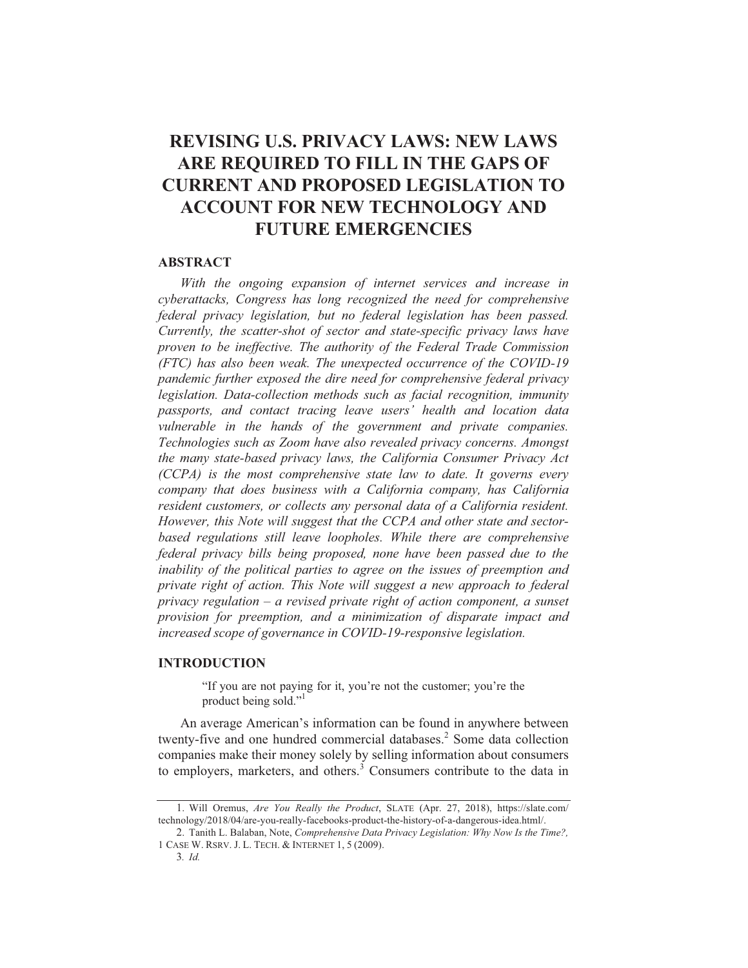# **REVISING U.S. PRIVACY LAWS: NEW LAWS** ARE REQUIRED TO FILL IN THE GAPS OF **CURRENT AND PROPOSED LEGISLATION TO ACCOUNT FOR NEW TECHNOLOGY AND FUTURE EMERGENCIES**

#### **ABSTRACT**

With the ongoing expansion of internet services and increase in cyberattacks, Congress has long recognized the need for comprehensive federal privacy legislation, but no federal legislation has been passed. Currently, the scatter-shot of sector and state-specific privacy laws have proven to be ineffective. The authority of the Federal Trade Commission (FTC) has also been weak. The unexpected occurrence of the COVID-19 pandemic further exposed the dire need for comprehensive federal privacy legislation. Data-collection methods such as facial recognition, immunity passports, and contact tracing leave users' health and location data vulnerable in the hands of the government and private companies. Technologies such as Zoom have also revealed privacy concerns. Amongst the many state-based privacy laws, the California Consumer Privacy Act (CCPA) is the most comprehensive state law to date. It governs every company that does business with a California company, has California resident customers, or collects any personal data of a California resident. However, this Note will suggest that the CCPA and other state and sectorbased regulations still leave loopholes. While there are comprehensive federal privacy bills being proposed, none have been passed due to the inability of the political parties to agree on the issues of preemption and private right of action. This Note will suggest a new approach to federal privacy regulation  $-$  a revised private right of action component, a sunset provision for preemption, and a minimization of disparate impact and increased scope of governance in COVID-19-responsive legislation.

#### **INTRODUCTION**

"If you are not paying for it, you're not the customer; you're the product being sold."

An average American's information can be found in anywhere between twenty-five and one hundred commercial databases.<sup>2</sup> Some data collection companies make their money solely by selling information about consumers to employers, marketers, and others.<sup>3</sup> Consumers contribute to the data in

<sup>1.</sup> Will Oremus, Are You Really the Product, SLATE (Apr. 27, 2018), https://slate.com/ technology/2018/04/are-you-really-facebooks-product-the-history-of-a-dangerous-idea.html/.

<sup>2.</sup> Tanith L. Balaban, Note, *Comprehensive Data Privacy Legislation: Why Now Is the Time?*, 1 CASE W. RSRV. J. L. TECH. & INTERNET 1, 5 (2009).

 $3.$  *Id.*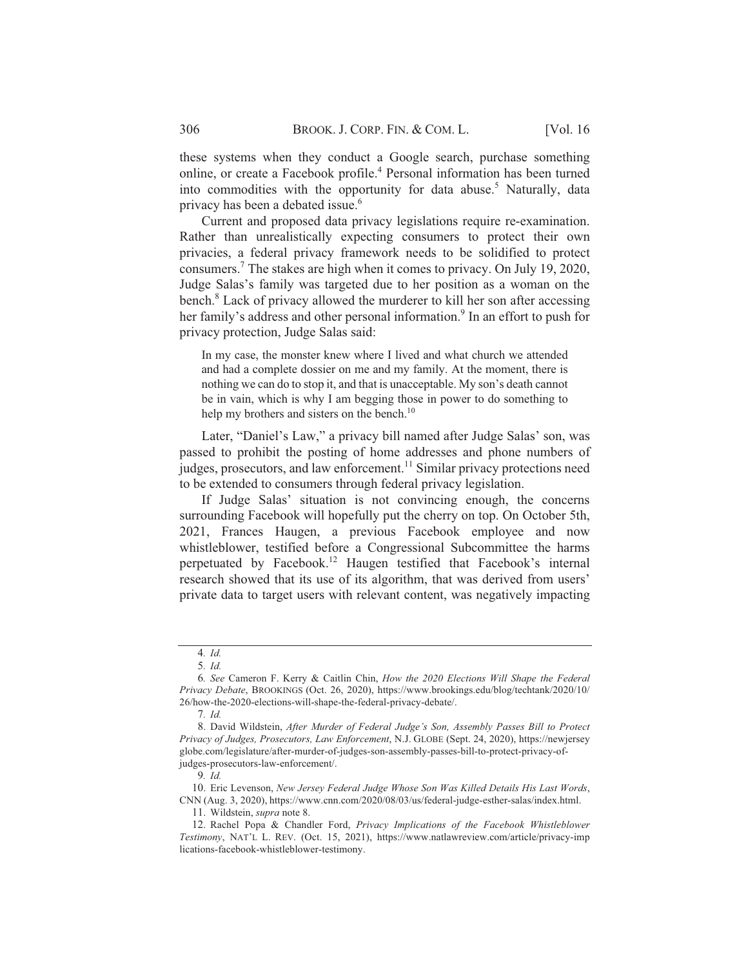these systems when they conduct a Google search, purchase something online, or create a Facebook profile.<sup>4</sup> Personal information has been turned into commodities with the opportunity for data abuse.<sup>5</sup> Naturally, data privacy has been a debated issue.<sup>6</sup>

Current and proposed data privacy legislations require re-examination. Rather than unrealistically expecting consumers to protect their own privacies, a federal privacy framework needs to be solidified to protect consumers.<sup>7</sup> The stakes are high when it comes to privacy. On July 19, 2020, Judge Salas's family was targeted due to her position as a woman on the bench.<sup>8</sup> Lack of privacy allowed the murderer to kill her son after accessing her family's address and other personal information.<sup>9</sup> In an effort to push for privacy protection, Judge Salas said:

In my case, the monster knew where I lived and what church we attended and had a complete dossier on me and my family. At the moment, there is nothing we can do to stop it, and that is unacceptable. My son's death cannot be in vain, which is why I am begging those in power to do something to help my brothers and sisters on the bench. $^{10}$ 

Later, "Daniel's Law," a privacy bill named after Judge Salas' son, was passed to prohibit the posting of home addresses and phone numbers of judges, prosecutors, and law enforcement.<sup>11</sup> Similar privacy protections need to be extended to consumers through federal privacy legislation.

If Judge Salas' situation is not convincing enough, the concerns surrounding Facebook will hopefully put the cherry on top. On October 5th, 2021, Frances Haugen, a previous Facebook employee and now whistleblower, testified before a Congressional Subcommittee the harms perpetuated by Facebook.<sup>12</sup> Haugen testified that Facebook's internal research showed that its use of its algorithm, that was derived from users' private data to target users with relevant content, was negatively impacting

<sup>5</sup> *%* ; *%*

<sup>6.</sup> See Cameron F. Kerry & Caitlin Chin, How the 2020 Elections Will Shape the Federal *Privacy Debate, BROOKINGS (Oct. 26, 2020), https://www.brookings.edu/blog/techtank/2020/10/* 26/how-the-2020-elections-will-shape-the-federal-privacy-debate/.

<sup>0</sup> *%*

<sup>8.</sup> David Wildstein, After Murder of Federal Judge's Son, Assembly Passes Bill to Protect Privacy of Judges, Prosecutors, Law Enforcement, N.J. GLOBE (Sept. 24, 2020), https://newjersey globe.com/legislature/after-murder-of-judges-son-assembly-passes-bill-to-protect-privacy-ofjudges-prosecutors-law-enforcement/.

<sup>9.</sup> Id.

<sup>10.</sup> Eric Levenson, New Jersey Federal Judge Whose Son Was Killed Details His Last Words, CNN (Aug. 3, 2020), https://www.cnn.com/2020/08/03/us/federal-judge-esther-salas/index.html.

<sup>11.</sup> Wildstein, *supra* note 8.

<sup>12.</sup> Rachel Popa & Chandler Ford, Privacy Implications of the Facebook Whistleblower Testimony, NAT'L L. REV. (Oct. 15, 2021), https://www.natlawreview.com/article/privacy-imp lications-facebook-whistleblower-testimony.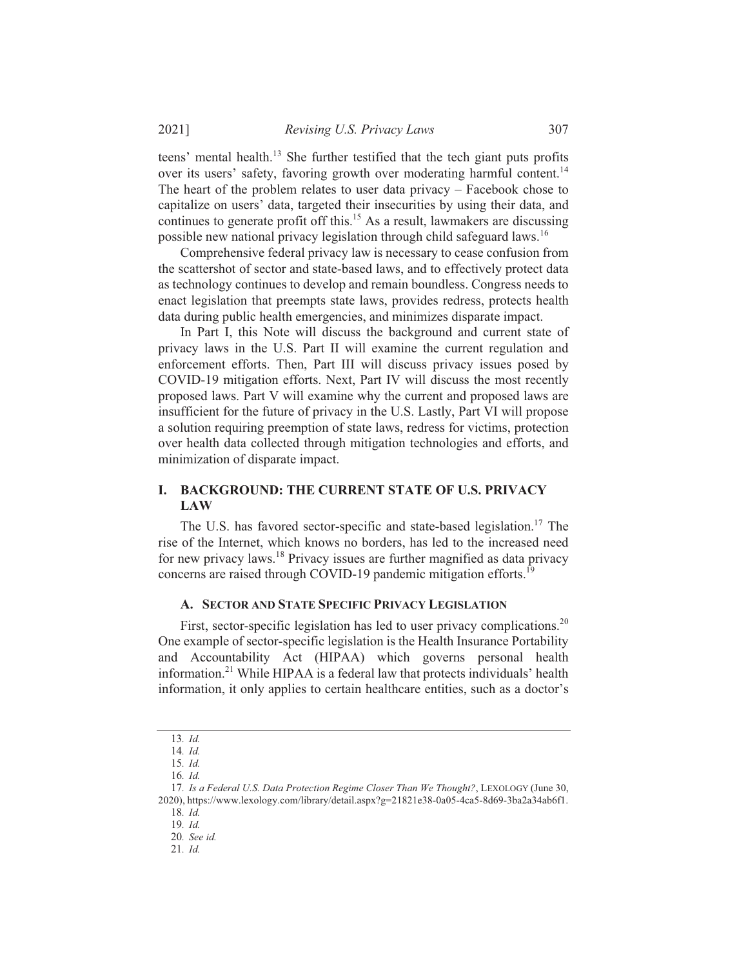teens' mental health.<sup>13</sup> She further testified that the tech giant puts profits over its users' safety, favoring growth over moderating harmful content.<sup>14</sup> The heart of the problem relates to user data privacy  $-$  Facebook chose to capitalize on users' data, targeted their insecurities by using their data, and continues to generate profit off this.<sup>15</sup> As a result, lawmakers are discussing possible new national privacy legislation through child safeguard laws.<sup>16</sup>

Comprehensive federal privacy law is necessary to cease confusion from the scattershot of sector and state-based laws, and to effectively protect data as technology continues to develop and remain boundless. Congress needs to enact legislation that preempts state laws, provides redress, protects health data during public health emergencies, and minimizes disparate impact.

In Part I, this Note will discuss the background and current state of privacy laws in the U.S. Part II will examine the current regulation and enforcement efforts. Then, Part III will discuss privacy issues posed by COVID-19 mitigation efforts. Next, Part IV will discuss the most recently proposed laws. Part V will examine why the current and proposed laws are insufficient for the future of privacy in the U.S. Lastly, Part VI will propose a solution requiring preemption of state laws, redress for victims, protection over health data collected through mitigation technologies and efforts, and minimization of disparate impact.

#### **I. BACKGROUND: THE CURRENT STATE OF U.S. PRIVACY LAW**

The U.S. has favored sector-specific and state-based legislation.<sup>17</sup> The rise of the Internet, which knows no borders, has led to the increased need for new privacy laws.<sup>18</sup> Privacy issues are further magnified as data privacy concerns are raised through COVID-19 pandemic mitigation efforts.<sup>19</sup>

#### A. SECTOR AND STATE SPECIFIC PRIVACY LEGISLATION

First, sector-specific legislation has led to user privacy complications.<sup>20</sup> One example of sector-specific legislation is the Health Insurance Portability and Accountability Act (HIPAA) which governs personal health information.<sup>21</sup> While HIPAA is a federal law that protects individuals' health information, it only applies to certain healthcare entities, such as a doctor's

<sup>13.</sup> Id.

<sup>14.</sup> Id.

<sup>15.</sup> Id. 16.  $Id$ .

<sup>17.</sup> Is a Federal U.S. Data Protection Regime Closer Than We Thought?, LEXOLOGY (June 30, 2020), https://www.lexology.com/library/detail.aspx?g=21821e38-0a05-4ca5-8d69-3ba2a34ab6f1. 18. Id.

 $19$   $Id$ 

<sup>20.</sup> See id.

<sup>21.</sup> Id.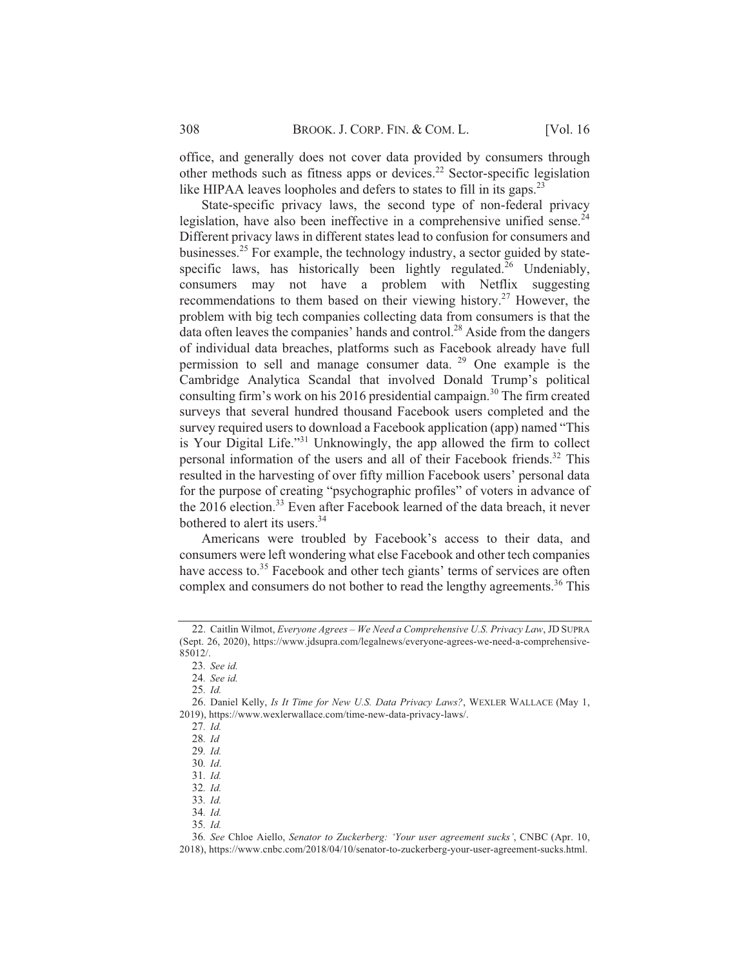office, and generally does not cover data provided by consumers through other methods such as fitness apps or devices.<sup>22</sup> Sector-specific legislation like HIPAA leaves loopholes and defers to states to fill in its gaps.<sup>23</sup>

State-specific privacy laws, the second type of non-federal privacy legislation, have also been ineffective in a comprehensive unified sense.<sup>24</sup> Different privacy laws in different states lead to confusion for consumers and businesses.<sup>25</sup> For example, the technology industry, a sector guided by statespecific laws, has historically been lightly regulated.<sup>26</sup> Undeniably, consumers may not have a problem with Netflix suggesting recommendations to them based on their viewing history.<sup>27</sup> However, the problem with big tech companies collecting data from consumers is that the data often leaves the companies' hands and control.<sup>28</sup> Aside from the dangers of individual data breaches, platforms such as Facebook already have full permission to sell and manage consumer data.  $29$  One example is the Cambridge Analytica Scandal that involved Donald Trump's political consulting firm's work on his 2016 presidential campaign.<sup>30</sup> The firm created surveys that several hundred thousand Facebook users completed and the survey required users to download a Facebook application (app) named "This is Your Digital Life."<sup>31</sup> Unknowingly, the app allowed the firm to collect personal information of the users and all of their Facebook friends.<sup>32</sup> This resulted in the harvesting of over fifty million Facebook users' personal data for the purpose of creating "psychographic profiles" of voters in advance of the 2016 election.<sup>33</sup> Even after Facebook learned of the data breach, it never bothered to alert its users.<sup>34</sup>

Americans were troubled by Facebook's access to their data, and consumers were left wondering what else Facebook and other tech companies have access to.<sup>35</sup> Facebook and other tech giants' terms of services are often complex and consumers do not bother to read the lengthy agreements.<sup>36</sup> This

34. Id.  $35. \; Id.$ 

<sup>22.</sup> Caitlin Wilmot, *Everyone Agrees - We Need a Comprehensive U.S. Privacy Law*, JD SUPRA (Sept. 26, 2020), https://www.jdsupra.com/legalnews/everyone-agrees-we-need-a-comprehensive-85012/.

<sup>23.</sup> See id.

<sup>24.</sup> See id.

<sup>25.</sup> Id.

<sup>26.</sup> Daniel Kelly, *Is It Time for New U.S. Data Privacy Laws?*, WEXLER WALLACE (May 1, 2019), https://www.wexlerwallace.com/time-new-data-privacy-laws/.

<sup>27.</sup> Id.

<sup>28.</sup> Id

<sup>29.</sup> Id.

<sup>30.</sup> Id.

<sup>31.</sup> *Id.* 

<sup>32.</sup> Id.

<sup>33.</sup> Id.

<sup>36.</sup> See Chloe Aiello, Senator to Zuckerberg: 'Your user agreement sucks', CNBC (Apr. 10, 2018), https://www.cnbc.com/2018/04/10/senator-to-zuckerberg-your-user-agreement-sucks.html.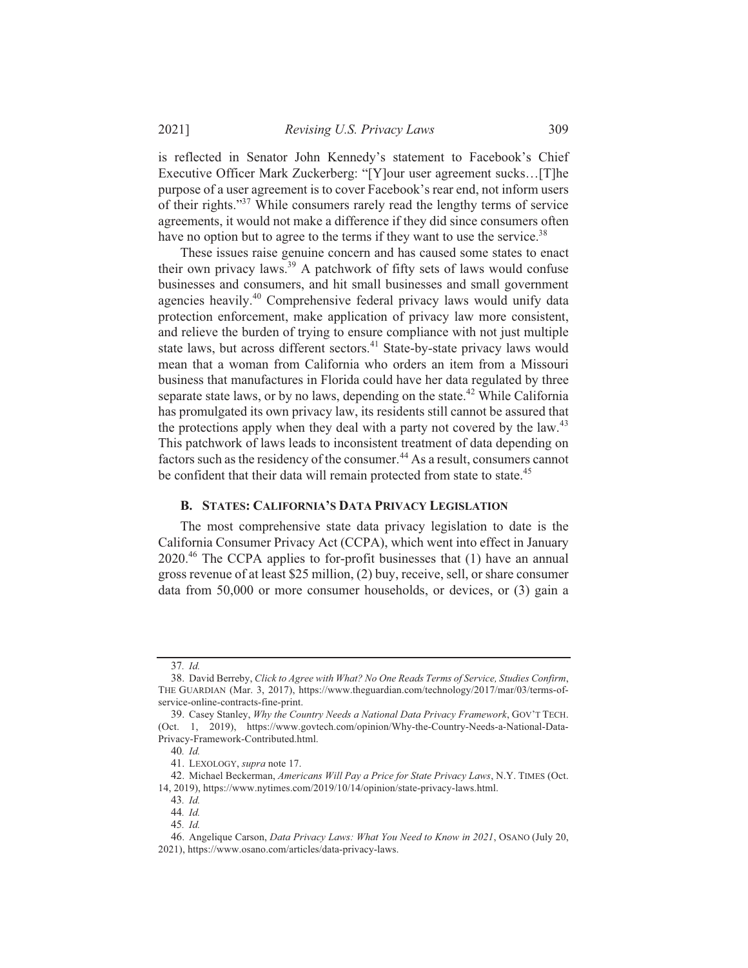*Revising U.S. Privacy Laws* 309

is reflected in Senator John Kennedy's statement to Facebook's Chief Executive Officer Mark Zuckerberg: "[Y]our user agreement sucks...[T]he purpose of a user agreement is to cover Facebook's rear end, not inform users of their rights."<sup>37</sup> While consumers rarely read the lengthy terms of service agreements, it would not make a difference if they did since consumers often have no option but to agree to the terms if they want to use the service.<sup>38</sup>

These issues raise genuine concern and has caused some states to enact their own privacy laws.<sup>39</sup> A patchwork of fifty sets of laws would confuse businesses and consumers, and hit small businesses and small government agencies heavily.<sup>40</sup> Comprehensive federal privacy laws would unify data protection enforcement, make application of privacy law more consistent, and relieve the burden of trying to ensure compliance with not just multiple state laws, but across different sectors.<sup>41</sup> State-by-state privacy laws would mean that a woman from California who orders an item from a Missouri business that manufactures in Florida could have her data regulated by three separate state laws, or by no laws, depending on the state.<sup>42</sup> While California has promulgated its own privacy law, its residents still cannot be assured that the protections apply when they deal with a party not covered by the law.<sup>43</sup> This patchwork of laws leads to inconsistent treatment of data depending on factors such as the residency of the consumer.<sup>44</sup> As a result, consumers cannot be confident that their data will remain protected from state to state.<sup>45</sup>

# B. STATES: CALIFORNIA'S DATA PRIVACY LEGISLATION

The most comprehensive state data privacy legislation to date is the California Consumer Privacy Act (CCPA), which went into effect in January 2020.<sup>46</sup> The CCPA applies to for-profit businesses that (1) have an annual gross revenue of at least \$25 million, (2) buy, receive, sell, or share consumer data from  $50,000$  or more consumer households, or devices, or  $(3)$  gain a

<sup>37.</sup> Id.

<sup>38.</sup> David Berreby, Click to Agree with What? No One Reads Terms of Service, Studies Confirm, THE GUARDIAN (Mar. 3, 2017), https://www.theguardian.com/technology/2017/mar/03/terms-ofservice-online-contracts-fine-print.

<sup>39.</sup> Casey Stanley, Why the Country Needs a National Data Privacy Framework, GOV'T TECH. (Oct. 1, 2019), https://www.govtech.com/opinion/Why-the-Country-Needs-a-National-Data-Privacy-Framework-Contributed.html.

<sup>40.</sup> Id.

<sup>41.</sup> LEXOLOGY, supra note 17.

<sup>42.</sup> Michael Beckerman, Americans Will Pay a Price for State Privacy Laws, N.Y. TIMES (Oct. 14, 2019), https://www.nytimes.com/2019/10/14/opinion/state-privacy-laws.html.

<sup>43.</sup> Id.

<sup>44.</sup> Id.

<sup>5;</sup> *%*

<sup>46.</sup> Angelique Carson, Data Privacy Laws: What You Need to Know in 2021, OSANO (July 20, 2021), https://www.osano.com/articles/data-privacy-laws.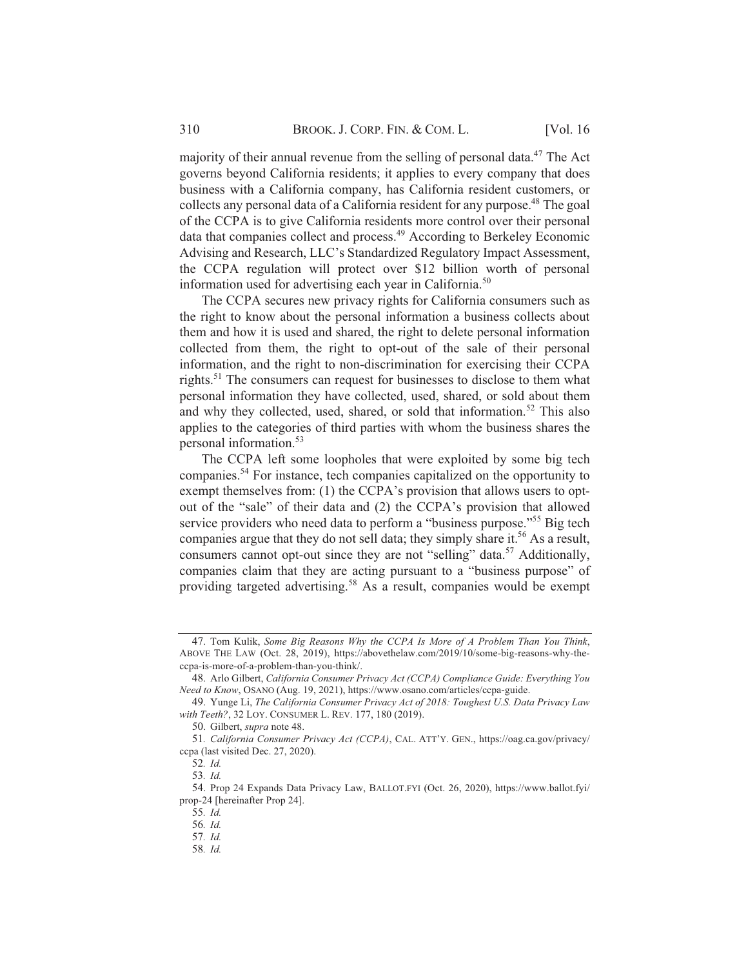majority of their annual revenue from the selling of personal data.<sup>47</sup> The Act governs beyond California residents; it applies to every company that does business with a California company, has California resident customers, or collects any personal data of a California resident for any purpose.<sup>48</sup> The goal of the CCPA is to give California residents more control over their personal data that companies collect and process.<sup>49</sup> According to Berkeley Economic Advising and Research, LLC's Standardized Regulatory Impact Assessment, the CCPA regulation will protect over \$12 billion worth of personal information used for advertising each year in California.<sup>50</sup>

The CCPA secures new privacy rights for California consumers such as the right to know about the personal information a business collects about them and how it is used and shared, the right to delete personal information collected from them, the right to opt-out of the sale of their personal information, and the right to non-discrimination for exercising their CCPA rights.<sup>51</sup> The consumers can request for businesses to disclose to them what personal information they have collected, used, shared, or sold about them and why they collected, used, shared, or sold that information.<sup>52</sup> This also applies to the categories of third parties with whom the business shares the personal information.<sup>53</sup>

The CCPA left some loopholes that were exploited by some big tech companies.<sup>54</sup> For instance, tech companies capitalized on the opportunity to exempt themselves from:  $(1)$  the CCPA's provision that allows users to optout of the "sale" of their data and (2) the CCPA's provision that allowed service providers who need data to perform a "business purpose."<sup>55</sup> Big tech companies argue that they do not sell data; they simply share it.<sup>56</sup> As a result, consumers cannot opt-out since they are not "selling" data.<sup>57</sup> Additionally, companies claim that they are acting pursuant to a "business purpose" of providing targeted advertising.<sup>58</sup> As a result, companies would be exempt

<sup>47.</sup> Tom Kulik, Some Big Reasons Why the CCPA Is More of A Problem Than You Think, ABOVE THE LAW (Oct. 28, 2019), https://abovethelaw.com/2019/10/some-big-reasons-why-theccpa-is-more-of-a-problem-than-you-think/.

<sup>48.</sup> Arlo Gilbert, California Consumer Privacy Act (CCPA) Compliance Guide: Everything You *Need to Know*, OSANO (Aug. 19, 2021), https://www.osano.com/articles/ccpa-guide.

<sup>49.</sup> Yunge Li, The California Consumer Privacy Act of 2018: Toughest U.S. Data Privacy Law *with Teeth?*, 32 LOY. CONSUMER L. REV. 177, 180 (2019).

<sup>50.</sup> Gilbert, *supra* note 48.

<sup>51.</sup> California Consumer Privacy Act (CCPA), CAL. ATT'Y. GEN., https://oag.ca.gov/privacy/ ccpa (last visited Dec. 27, 2020).

<sup>52.</sup> *Id.* 

<sup>53.</sup> *Id.* 

<sup>54.</sup> Prop 24 Expands Data Privacy Law, BALLOT.FYI (Oct. 26, 2020), https://www.ballot.fyi/ prop-24 [hereinafter Prop 24].

<sup>55.</sup> Id.

<sup>56.</sup> Id.

<sup>57.</sup> Id.

<sup>58.</sup> Id.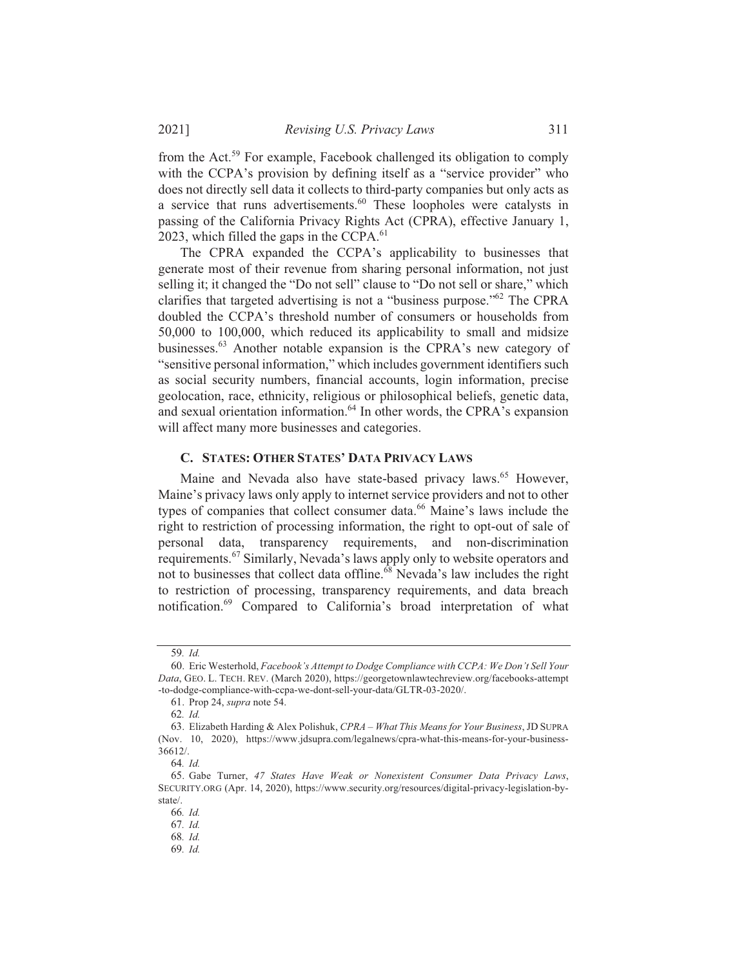from the Act.<sup>59</sup> For example, Facebook challenged its obligation to comply with the CCPA's provision by defining itself as a "service provider" who does not directly sell data it collects to third-party companies but only acts as a service that runs advertisements.<sup>60</sup> These loopholes were catalysts in passing of the California Privacy Rights Act (CPRA), effective January 1, 2023, which filled the gaps in the CCPA. $^{61}$ 

The CPRA expanded the CCPA's applicability to businesses that generate most of their revenue from sharing personal information, not just selling it; it changed the "Do not sell" clause to "Do not sell or share," which clarifies that targeted advertising is not a "business purpose."<sup>62</sup> The CPRA doubled the CCPA's threshold number of consumers or households from  $50,000$  to  $100,000$ , which reduced its applicability to small and midsize businesses.<sup>63</sup> Another notable expansion is the CPRA's new category of "sensitive personal information," which includes government identifiers such as social security numbers, financial accounts, login information, precise geolocation, race, ethnicity, religious or philosophical beliefs, genetic data, and sexual orientation information.<sup>64</sup> In other words, the CPRA's expansion will affect many more businesses and categories.

### **C. STATES: OTHER STATES' DATA PRIVACY LAWS**

Maine and Nevada also have state-based privacy laws.<sup>65</sup> However, Maine's privacy laws only apply to internet service providers and not to other types of companies that collect consumer data.<sup>66</sup> Maine's laws include the right to restriction of processing information, the right to opt-out of sale of personal data, transparency requirements, and non-discrimination requirements.<sup>67</sup> Similarly, Nevada's laws apply only to website operators and not to businesses that collect data offline.<sup>68</sup> Nevada's law includes the right to restriction of processing, transparency requirements, and data breach notification.<sup>69</sup> Compared to California's broad interpretation of what

<sup>59.</sup> Id.

<sup>60.</sup> Eric Westerhold, Facebook's Attempt to Dodge Compliance with CCPA: We Don't Sell Your Data, GEO. L. TECH. REV. (March 2020), https://georgetownlawtechreview.org/facebooks-attempt -to-dodge-compliance-with-ccpa-we-dont-sell-your-data/GLTR-03-2020/.

<sup>61.</sup> Prop 24, *supra* note 54.

<sup>62</sup> Id

<sup>63.</sup> Elizabeth Harding & Alex Polishuk, CPRA - What This Means for Your Business, JD SUPRA (Nov. 10, 2020), https://www.jdsupra.com/legalnews/cpra-what-this-means-for-your-business- $36612/$ .

<sup>5</sup> *%*

<sup>65.</sup> Gabe Turner, 47 States Have Weak or Nonexistent Consumer Data Privacy Laws, SECURITY.ORG (Apr. 14, 2020), https://www.security.org/resources/digital-privacy-legislation-bystate/.

<sup>66.</sup> Id.

<sup>67.</sup> Id.

<sup>68.</sup> Id.

<sup>69.</sup> Id.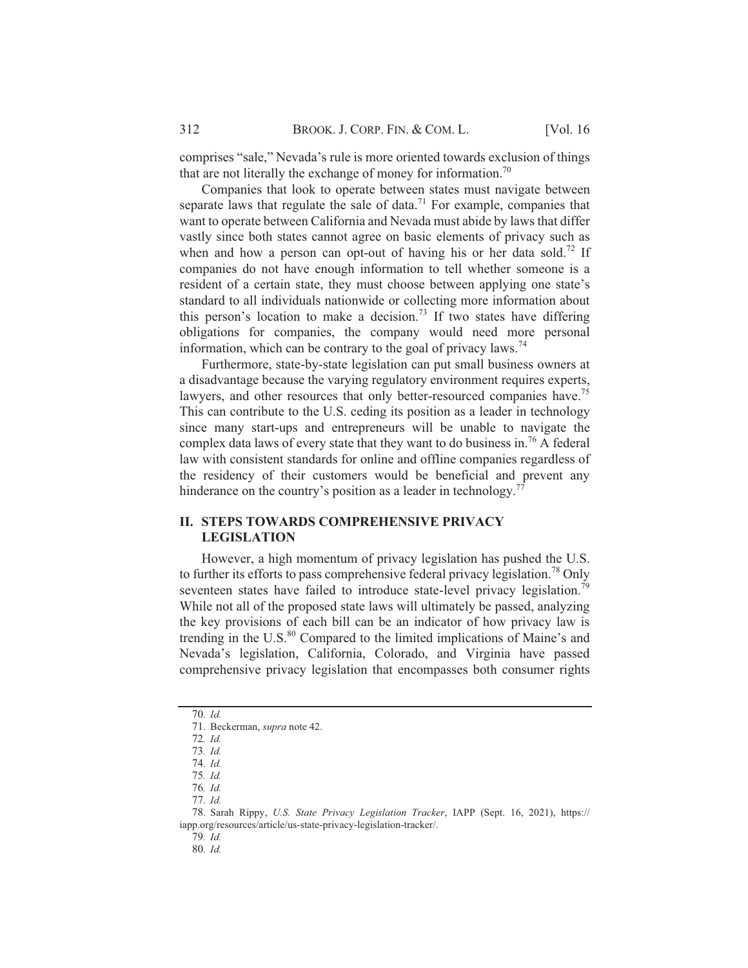comprises "sale," Nevada's rule is more oriented towards exclusion of things that are not literally the exchange of money for information.<sup>70</sup>

Companies that look to operate between states must navigate between separate laws that regulate the sale of data.<sup>71</sup> For example, companies that want to operate between California and Nevada must abide by laws that differ vastly since both states cannot agree on basic elements of privacy such as when and how a person can opt-out of having his or her data sold.<sup>72</sup> If companies do not have enough information to tell whether someone is a resident of a certain state, they must choose between applying one state's standard to all individuals nationwide or collecting more information about this person's location to make a decision.<sup>73</sup> If two states have differing obligations for companies, the company would need more personal information, which can be contrary to the goal of privacy laws.<sup>74</sup>

Furthermore, state-by-state legislation can put small business owners at a disadvantage because the varying regulatory environment requires experts, lawyers, and other resources that only better-resourced companies have.<sup>75</sup> This can contribute to the U.S. ceding its position as a leader in technology since many start-ups and entrepreneurs will be unable to navigate the complex data laws of every state that they want to do business in.<sup>76</sup> A federal law with consistent standards for online and offline companies regardless of the residency of their customers would be beneficial and prevent any hinderance on the country's position as a leader in technology.<sup>77</sup>

#### **II. STEPS TOWARDS COMPREHENSIVE PRIVACY LEGISLATION**

However, a high momentum of privacy legislation has pushed the U.S. to further its efforts to pass comprehensive federal privacy legislation.<sup>78</sup> Only seventeen states have failed to introduce state-level privacy legislation.<sup>79</sup> While not all of the proposed state laws will ultimately be passed, analyzing the key provisions of each bill can be an indicator of how privacy law is trending in the U.S.<sup>80</sup> Compared to the limited implications of Maine's and Nevada's legislation, California, Colorado, and Virginia have passed comprehensive privacy legislation that encompasses both consumer rights

76. Id.

79. Id.

80. Id.

<sup>70.</sup> Id.

<sup>71.</sup> Beckerman, supra note 42.

<sup>72.</sup> Id.

<sup>73.</sup> Id.

<sup>74.</sup> Id. 75. Id.

<sup>77.</sup> Id.

<sup>78.</sup> Sarah Rippy, U.S. State Privacy Legislation Tracker, IAPP (Sept. 16, 2021), https:// iapp.org/resources/article/us-state-privacy-legislation-tracker/.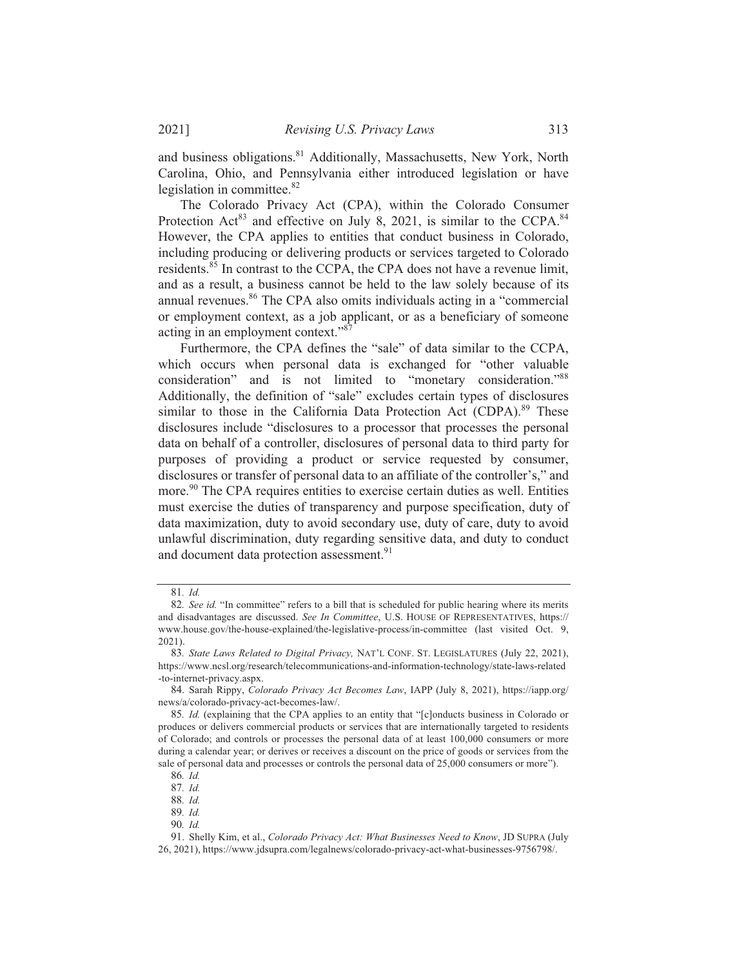and business obligations.<sup>81</sup> Additionally, Massachusetts, New York, North Carolina, Ohio, and Pennsylvania either introduced legislation or have legislation in committee.<sup>82</sup>

The Colorado Privacy Act (CPA), within the Colorado Consumer Protection Act<sup>83</sup> and effective on July 8, 2021, is similar to the CCPA.<sup>84</sup> However, the CPA applies to entities that conduct business in Colorado, including producing or delivering products or services targeted to Colorado residents.<sup>85</sup> In contrast to the CCPA, the CPA does not have a revenue limit, and as a result, a business cannot be held to the law solely because of its annual revenues.<sup>86</sup> The CPA also omits individuals acting in a "commercial or employment context, as a job applicant, or as a beneficiary of someone acting in an employment context." $\frac{87}{7}$ 

Furthermore, the CPA defines the "sale" of data similar to the CCPA, which occurs when personal data is exchanged for "other valuable consideration" and is not limited to "monetary consideration."<sup>88</sup> Additionally, the definition of "sale" excludes certain types of disclosures similar to those in the California Data Protection Act (CDPA).<sup>89</sup> These disclosures include "disclosures to a processor that processes the personal data on behalf of a controller, disclosures of personal data to third party for purposes of providing a product or service requested by consumer, disclosures or transfer of personal data to an affiliate of the controller's," and more.<sup>90</sup> The CPA requires entities to exercise certain duties as well. Entities must exercise the duties of transparency and purpose specification, duty of data maximization, duty to avoid secondary use, duty of care, duty to avoid unlawful discrimination, duty regarding sensitive data, and duty to conduct and document data protection assessment.<sup>91</sup>

<sup>81.</sup> Id.

<sup>82.</sup> See id. "In committee" refers to a bill that is scheduled for public hearing where its merits and disadvantages are discussed. See In Committee, U.S. HOUSE OF REPRESENTATIVES, https:// www.house.gov/the-house-explained/the-legislative-process/in-committee (last visited Oct. 9,  $2021$ ).

<sup>83.</sup> State Laws Related to Digital Privacy, NAT'L CONF. ST. LEGISLATURES (July 22, 2021), https://www.ncsl.org/research/telecommunications-and-information-technology/state-laws-related -to-internet-privacy.aspx.

<sup>84.</sup> Sarah Rippy, Colorado Privacy Act Becomes Law, IAPP (July 8, 2021), https://iapp.org/ news/a/colorado-privacy-act-becomes-law/.

<sup>85.</sup> *Id.* (explaining that the CPA applies to an entity that "[c]onducts business in Colorado or produces or delivers commercial products or services that are internationally targeted to residents of Colorado: and controls or processes the personal data of at least  $100,000$  consumers or more during a calendar year; or derives or receives a discount on the price of goods or services from the sale of personal data and processes or controls the personal data of 25,000 consumers or more").

<sup>15</sup> *%*

<sup>87.</sup> Id.

<sup>88.</sup> Id.

<sup>89.</sup> Id.

<sup>90.</sup> Id.

<sup>91.</sup> Shelly Kim, et al., Colorado Privacy Act: What Businesses Need to Know, JD SUPRA (July 26, 2021), https://www.idsupra.com/legalnews/colorado-privacy-act-what-businesses-9756798/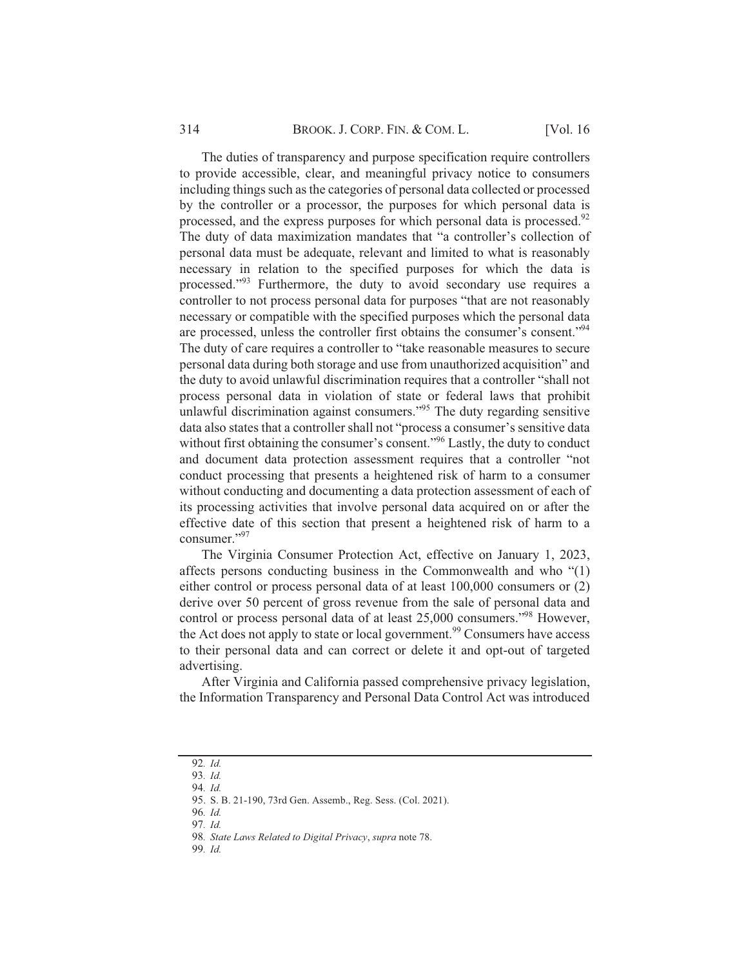The duties of transparency and purpose specification require controllers to provide accessible, clear, and meaningful privacy notice to consumers including things such as the categories of personal data collected or processed by the controller or a processor, the purposes for which personal data is processed, and the express purposes for which personal data is processed.<sup>92</sup> The duty of data maximization mandates that "a controller's collection of personal data must be adequate, relevant and limited to what is reasonably necessary in relation to the specified purposes for which the data is processed."<sup>93</sup> Furthermore, the duty to avoid secondary use requires a controller to not process personal data for purposes "that are not reasonably necessary or compatible with the specified purposes which the personal data are processed, unless the controller first obtains the consumer's consent."<sup>94</sup> The duty of care requires a controller to "take reasonable measures to secure personal data during both storage and use from unauthorized acquisition" and the duty to avoid unlawful discrimination requires that a controller "shall not process personal data in violation of state or federal laws that prohibit unlawful discrimination against consumers."<sup>95</sup> The duty regarding sensitive data also states that a controller shall not "process a consumer's sensitive data without first obtaining the consumer's consent."<sup>96</sup> Lastly, the duty to conduct and document data protection assessment requires that a controller "not conduct processing that presents a heightened risk of harm to a consumer without conducting and documenting a data protection assessment of each of its processing activities that involve personal data acquired on or after the effective date of this section that present a heightened risk of harm to a consumer." $97$ 

The Virginia Consumer Protection Act, effective on January 1, 2023, affects persons conducting business in the Commonwealth and who  $\degree(1)$ either control or process personal data of at least 100,000 consumers or  $(2)$ derive over 50 percent of gross revenue from the sale of personal data and control or process personal data of at least 25,000 consumers."<sup>98</sup> However, the Act does not apply to state or local government.<sup>99</sup> Consumers have access to their personal data and can correct or delete it and opt-out of targeted advertising.

After Virginia and California passed comprehensive privacy legislation, the Information Transparency and Personal Data Control Act was introduced

<sup>92.</sup> Id.

<sup>93.</sup> Id.

<sup>94.</sup> Id.

<sup>95.</sup> S. B. 21-190, 73rd Gen. Assemb., Reg. Sess. (Col. 2021).

<sup>96.</sup> Id.

<sup>97.</sup> Id.

<sup>98.</sup> State Laws Related to Digital Privacy, supra note 78.

<sup>99.</sup> Id.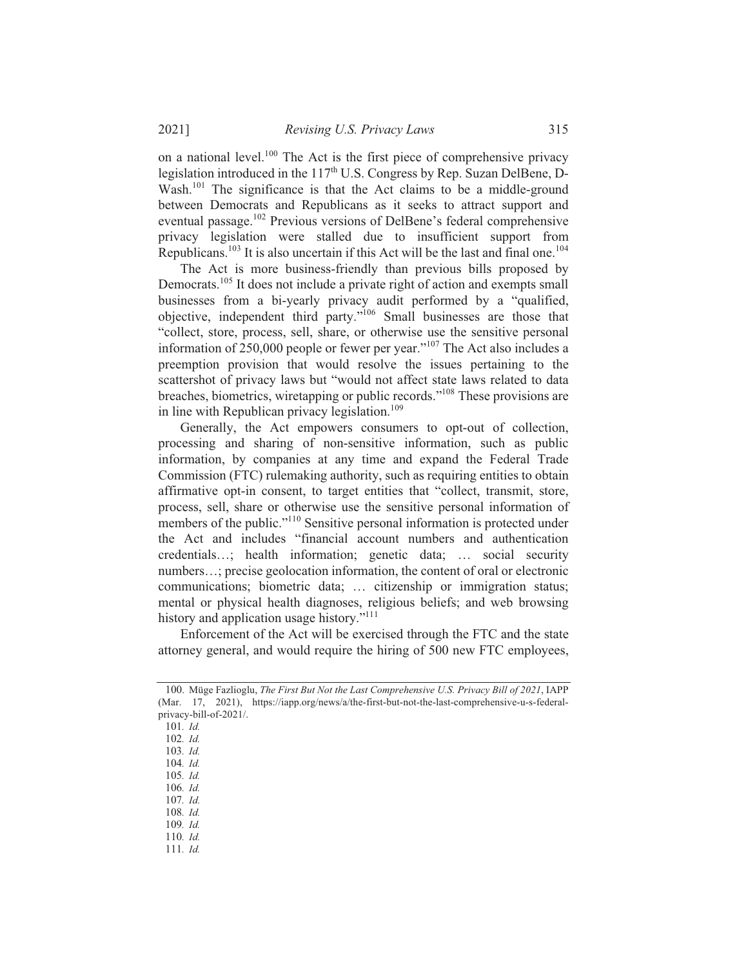on a national level.<sup>100</sup> The Act is the first piece of comprehensive privacy legislation introduced in the  $117<sup>th</sup>$  U.S. Congress by Rep. Suzan DelBene, D-Wash.<sup>101</sup> The significance is that the Act claims to be a middle-ground between Democrats and Republicans as it seeks to attract support and eventual passage.<sup>102</sup> Previous versions of DelBene's federal comprehensive privacy legislation were stalled due to insufficient support from Republicans.<sup>103</sup> It is also uncertain if this Act will be the last and final one.<sup>104</sup>

The Act is more business-friendly than previous bills proposed by Democrats.<sup>105</sup> It does not include a private right of action and exempts small businesses from a bi-yearly privacy audit performed by a "qualified, objective, independent third party."<sup>106</sup> Small businesses are those that "collect, store, process, sell, share, or otherwise use the sensitive personal information of 250,000 people or fewer per year."<sup>107</sup> The Act also includes a preemption provision that would resolve the issues pertaining to the scattershot of privacy laws but "would not affect state laws related to data breaches, biometrics, wiretapping or public records."<sup>108</sup> These provisions are in line with Republican privacy legislation.<sup>109</sup>

Generally, the Act empowers consumers to opt-out of collection, processing and sharing of non-sensitive information, such as public information, by companies at any time and expand the Federal Trade Commission (FTC) rulemaking authority, such as requiring entities to obtain affirmative opt-in consent, to target entities that "collect, transmit, store, process, sell, share or otherwise use the sensitive personal information of members of the public."<sup>110</sup> Sensitive personal information is protected under the Act and includes "financial account numbers and authentication credentials...; health information; genetic data; ... social security numbers...; precise geolocation information, the content of oral or electronic communications; biometric data; ... citizenship or immigration status; mental or physical health diagnoses, religious beliefs; and web browsing history and application usage history."<sup>111</sup>

Enforcement of the Act will be exercised through the FTC and the state attorney general, and would require the hiring of 500 new FTC employees,

103. Id.

- 105. Id.
- 106. Id.
- 107. Id. 108. Id.
- 109.  $Id$
- 110. Id.
- 111. *Id.*

<sup>100.</sup> Müge Fazlioglu, The First But Not the Last Comprehensive U.S. Privacy Bill of 2021, IAPP (Mar. 17, 2021), https://iapp.org/news/a/the-first-but-not-the-last-comprehensive-u-s-federalprivacy-bill-of-2021/.

<sup>101.</sup> Id.

<sup>102.</sup> Id.

<sup>104.</sup> Id.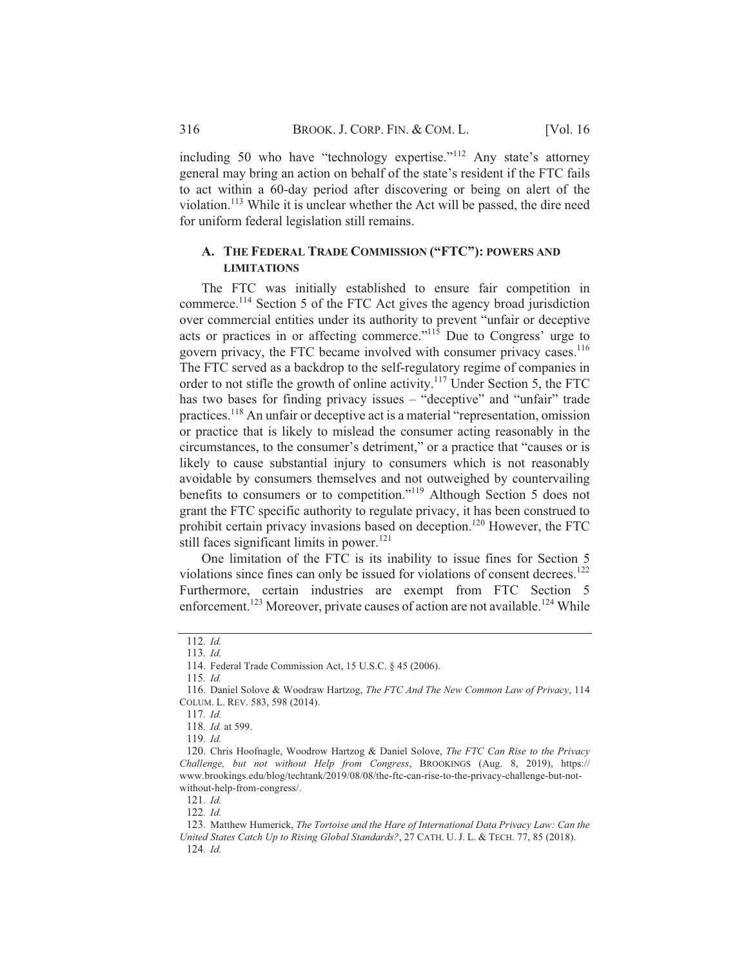including 50 who have "technology expertise."<sup>112</sup> Any state's attorney general may bring an action on behalf of the state's resident if the FTC fails to act within a 60-day period after discovering or being on alert of the violation.<sup>113</sup> While it is unclear whether the Act will be passed, the dire need for uniform federal legislation still remains.

#### **A.** THE FEDERAL TRADE COMMISSION ("FTC"): POWERS AND **LIMITATIONS**

The FTC was initially established to ensure fair competition in commerce.<sup>114</sup> Section 5 of the FTC Act gives the agency broad jurisdiction over commercial entities under its authority to prevent "unfair or deceptive acts or practices in or affecting commerce." $115$  Due to Congress' urge to govern privacy, the FTC became involved with consumer privacy cases.<sup>116</sup> The FTC served as a backdrop to the self-regulatory regime of companies in order to not stifle the growth of online activity.<sup>117</sup> Under Section 5, the FTC has two bases for finding privacy issues – "deceptive" and "unfair" trade practices.<sup>118</sup> An unfair or deceptive act is a material "representation, omission or practice that is likely to mislead the consumer acting reasonably in the circumstances, to the consumer's detriment," or a practice that "causes or is likely to cause substantial injury to consumers which is not reasonably avoidable by consumers themselves and not outweighed by countervailing benefits to consumers or to competition."<sup>119</sup> Although Section 5 does not grant the FTC specific authority to regulate privacy, it has been construed to prohibit certain privacy invasions based on deception.<sup>120</sup> However, the FTC still faces significant limits in power.<sup>121</sup>

One limitation of the FTC is its inability to issue fines for Section 5 violations since fines can only be issued for violations of consent decrees.<sup>122</sup> Furthermore, certain industries are exempt from FTC Section 5 enforcement.<sup>123</sup> Moreover, private causes of action are not available.<sup>124</sup> While

115. Id.

 $119$  *Id* 

<sup>112.</sup> Id.

<sup>113.</sup> *Id.* 

<sup>114.</sup> Federal Trade Commission Act, 15 U.S.C. § 45 (2006).

<sup>116.</sup> Daniel Solove & Woodraw Hartzog, The FTC And The New Common Law of Privacy, 114 COLUM. L. REV. 583, 598 (2014).

<sup>117.</sup> Id.

<sup>118.</sup> *Id.* at 599.

<sup>120.</sup> Chris Hoofnagle, Woodrow Hartzog & Daniel Solove, The FTC Can Rise to the Privacy Challenge, but not without Help from Congress, BROOKINGS (Aug. 8, 2019), https:// www.brookings.edu/blog/techtank/2019/08/08/the-ftc-can-rise-to-the-privacy-challenge-but-notwithout-help-from-congress/.

<sup>121.</sup> Id.

<sup>122.</sup> Id.

<sup>123.</sup> Matthew Humerick, The Tortoise and the Hare of International Data Privacy Law: Can the United States Catch Up to Rising Global Standards?, 27 CATH. U. J. L. & TECH. 77, 85 (2018). 124. Id.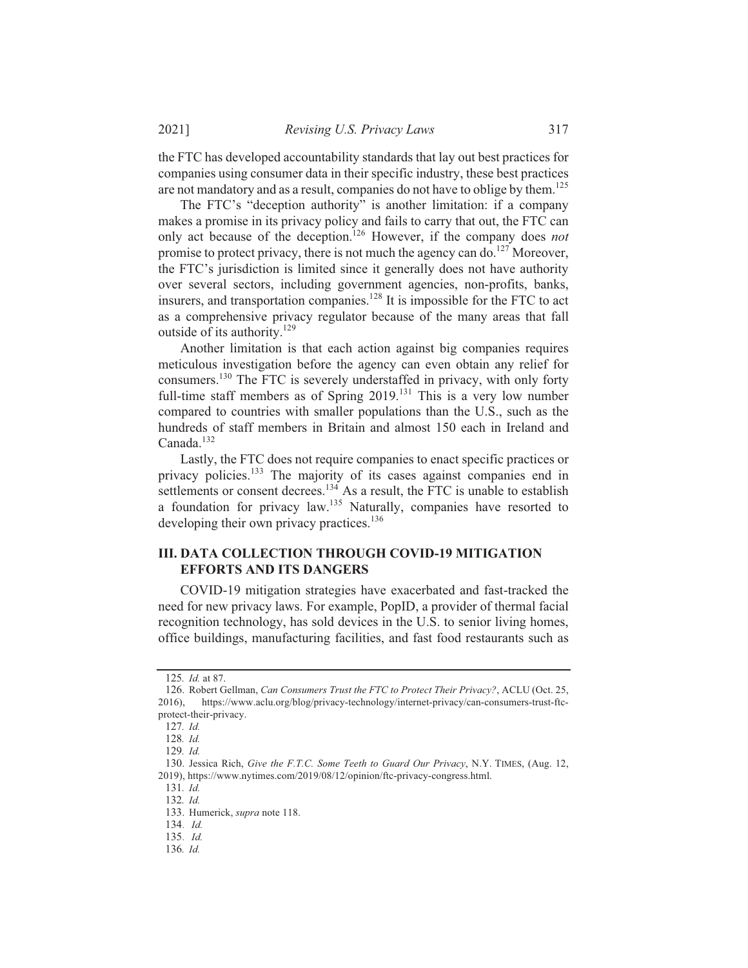*Revising U.S. Privacy Laws* 317

the FTC has developed accountability standards that lay out best practices for companies using consumer data in their specific industry, these best practices are not mandatory and as a result, companies do not have to oblige by them.<sup>125</sup>

The FTC's "deception authority" is another limitation: if a company makes a promise in its privacy policy and fails to carry that out, the FTC can only act because of the deception.<sup>126</sup> However, if the company does not promise to protect privacy, there is not much the agency can do.<sup>127</sup> Moreover, the FTC's jurisdiction is limited since it generally does not have authority over several sectors, including government agencies, non-profits, banks, insurers, and transportation companies.<sup>128</sup> It is impossible for the FTC to act as a comprehensive privacy regulator because of the many areas that fall outside of its authority.<sup>129</sup>

Another limitation is that each action against big companies requires meticulous investigation before the agency can even obtain any relief for consumers.<sup>130</sup> The FTC is severely understaffed in privacy, with only forty full-time staff members as of Spring 2019.<sup>131</sup> This is a very low number compared to countries with smaller populations than the U.S., such as the hundreds of staff members in Britain and almost 150 each in Ireland and Canada.<sup>132</sup>

Lastly, the FTC does not require companies to enact specific practices or privacy policies.<sup>133</sup> The majority of its cases against companies end in settlements or consent decrees.<sup>134</sup> As a result, the FTC is unable to establish a foundation for privacy law.<sup>135</sup> Naturally, companies have resorted to developing their own privacy practices.<sup>136</sup>

## **III. DATA COLLECTION THROUGH COVID-19 MITIGATION EFFORTS AND ITS DANGERS**

COVID-19 mitigation strategies have exacerbated and fast-tracked the need for new privacy laws. For example, PopID, a provider of thermal facial recognition technology, has sold devices in the U.S. to senior living homes, office buildings, manufacturing facilities, and fast food restaurants such as

<sup>125.</sup> *Id.* at 87.

<sup>126.</sup> Robert Gellman, Can Consumers Trust the FTC to Protect Their Privacy?, ACLU (Oct. 25, 2016), https://www.aclu.org/blog/privacy-technology/internet-privacy/can-consumers-trust-ftcprotect-their-privacy.

<sup>127.</sup> Id.

<sup>128.</sup> Id.

<sup>129.</sup> Id.

<sup>130.</sup> Jessica Rich, *Give the F.T.C. Some Teeth to Guard Our Privacy*, N.Y. TIMES, (Aug. 12, 2019), https://www.nytimes.com/2019/08/12/opinion/ftc-privacy-congress.html.

<sup>131.</sup> Id.

<sup>132.</sup> Id.

<sup>133.</sup> Humerick, supra note 118.

<sup>134.</sup> *Id.* 

 $135.$  *Id.* 

<sup>136.</sup> Id.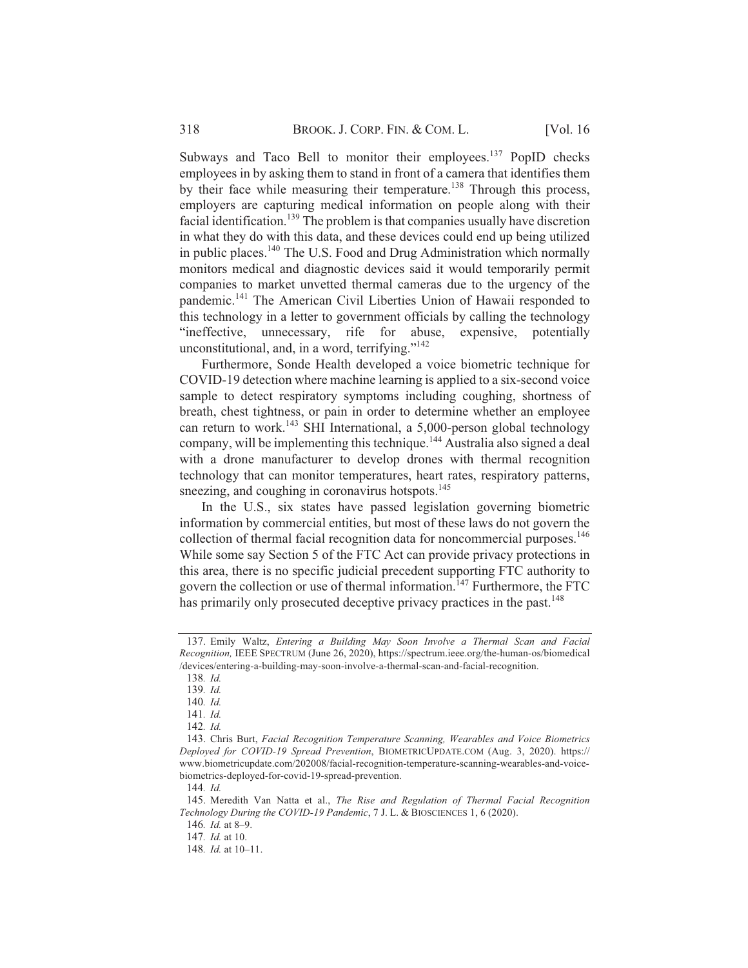Subways and Taco Bell to monitor their employees.<sup>137</sup> PopID checks employees in by asking them to stand in front of a camera that identifies them by their face while measuring their temperature.<sup>138</sup> Through this process, employers are capturing medical information on people along with their facial identification.<sup>139</sup> The problem is that companies usually have discretion in what they do with this data, and these devices could end up being utilized in public places.<sup>140</sup> The U.S. Food and Drug Administration which normally monitors medical and diagnostic devices said it would temporarily permit companies to market unvetted thermal cameras due to the urgency of the pandemic.<sup>141</sup> The American Civil Liberties Union of Hawaii responded to this technology in a letter to government officials by calling the technology "ineffective, unnecessary, rife for abuse, expensive, potentially unconstitutional, and, in a word, terrifying."<sup>142</sup>

Furthermore, Sonde Health developed a voice biometric technique for COVID-19 detection where machine learning is applied to a six-second voice sample to detect respiratory symptoms including coughing, shortness of breath, chest tightness, or pain in order to determine whether an employee can return to work.<sup>143</sup> SHI International, a 5,000-person global technology company, will be implementing this technique.<sup>144</sup> Australia also signed a deal with a drone manufacturer to develop drones with thermal recognition technology that can monitor temperatures, heart rates, respiratory patterns, sneezing, and coughing in coronavirus hotspots. $145$ 

In the U.S., six states have passed legislation governing biometric information by commercial entities, but most of these laws do not govern the collection of thermal facial recognition data for noncommercial purposes.<sup>146</sup> While some say Section 5 of the FTC Act can provide privacy protections in this area, there is no specific judicial precedent supporting FTC authority to govern the collection or use of thermal information.<sup>147</sup> Furthermore, the FTC has primarily only prosecuted deceptive privacy practices in the past.<sup>148</sup>

<sup>137.</sup> Emily Waltz, *Entering a Building May Soon Involve a Thermal Scan and Facial* Recognition, IEEE SPECTRUM (June 26, 2020), https://spectrum.ieee.org/the-human-os/biomedical /devices/entering-a-building-may-soon-involve-a-thermal-scan-and-facial-recognition.

<sup>138.</sup> Id.

<sup>139.</sup> Id.

<sup>140.</sup> Id.

<sup>141.</sup> Id.

<sup>142.</sup> Id.

<sup>143.</sup> Chris Burt, Facial Recognition Temperature Scanning, Wearables and Voice Biometrics Deployed for COVID-19 Spread Prevention, BIOMETRICUPDATE.COM (Aug. 3, 2020). https:// www.biometricupdate.com/202008/facial-recognition-temperature-scanning-wearables-and-voicebiometrics-deployed-for-covid-19-spread-prevention.

<sup>144.</sup> Id.

<sup>145.</sup> Meredith Van Natta et al., The Rise and Regulation of Thermal Facial Recognition Technology During the COVID-19 Pandemic, 7 J. L. & BIOSCIENCES 1, 6 (2020).

<sup>146.</sup> *Id.* at 8-9.

<sup>147.</sup> *Id.* at 10.

<sup>148.</sup> *Id.* at 10-11.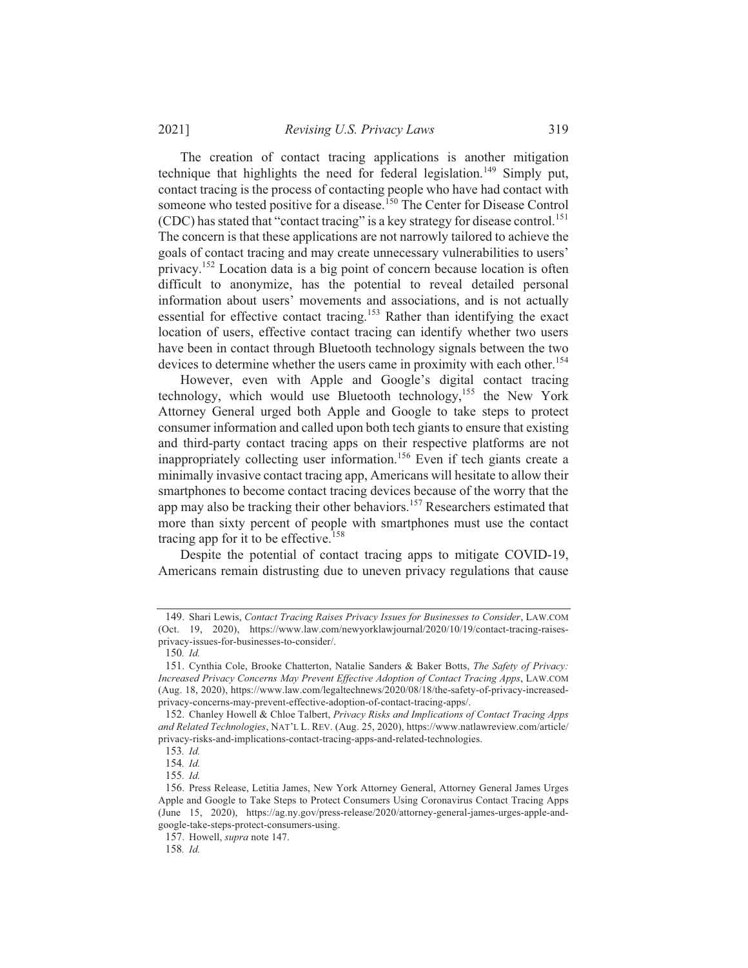*Revising U.S. Privacy Laws* 319

The creation of contact tracing applications is another mitigation technique that highlights the need for federal legislation.<sup>149</sup> Simply put, contact tracing is the process of contacting people who have had contact with someone who tested positive for a disease.<sup>150</sup> The Center for Disease Control (CDC) has stated that "contact tracing" is a key strategy for disease control.<sup>151</sup> The concern is that these applications are not narrowly tailored to achieve the goals of contact tracing and may create unnecessary vulnerabilities to users' privacy.<sup>152</sup> Location data is a big point of concern because location is often difficult to anonymize, has the potential to reveal detailed personal information about users' movements and associations, and is not actually essential for effective contact tracing.<sup>153</sup> Rather than identifying the exact location of users, effective contact tracing can identify whether two users have been in contact through Bluetooth technology signals between the two devices to determine whether the users came in proximity with each other.<sup>154</sup>

However, even with Apple and Google's digital contact tracing technology, which would use Bluetooth technology,<sup>155</sup> the New York Attorney General urged both Apple and Google to take steps to protect consumer information and called upon both tech giants to ensure that existing and third-party contact tracing apps on their respective platforms are not inappropriately collecting user information.<sup>156</sup> Even if tech giants create a minimally invasive contact tracing app, Americans will hesitate to allow their smartphones to become contact tracing devices because of the worry that the app may also be tracking their other behaviors.<sup>157</sup> Researchers estimated that more than sixty percent of people with smartphones must use the contact tracing app for it to be effective.<sup>158</sup>

Despite the potential of contact tracing apps to mitigate COVID-19, Americans remain distrusting due to uneven privacy regulations that cause

<sup>149.</sup> Shari Lewis, Contact Tracing Raises Privacy Issues for Businesses to Consider, LAW.COM (Oct. 19, 2020), https://www.law.com/newyorklawjournal/2020/10/19/contact-tracing-raisesprivacy-issues-for-businesses-to-consider/.

<sup>150.</sup> Id.

<sup>151.</sup> Cynthia Cole, Brooke Chatterton, Natalie Sanders & Baker Botts, The Safety of Privacy: Increased Privacy Concerns May Prevent Effective Adoption of Contact Tracing Apps, LAW.COM (Aug. 18, 2020), https://www.law.com/legaltechnews/2020/08/18/the-safety-of-privacy-increasedprivacy-concerns-may-prevent-effective-adoption-of-contact-tracing-apps/.

<sup>152.</sup> Chanley Howell & Chloe Talbert, Privacy Risks and Implications of Contact Tracing Apps and Related Technologies, NAT'L L. REV. (Aug. 25, 2020), https://www.natlawreview.com/article/ privacy-risks-and-implications-contact-tracing-apps-and-related-technologies.

<sup>153.</sup> Id.

<sup>154.</sup> Id.

<sup>155.</sup> Id.

<sup>156.</sup> Press Release, Letitia James, New York Attorney General, Attorney General James Urges Apple and Google to Take Steps to Protect Consumers Using Coronavirus Contact Tracing Apps (June 15, 2020), https://ag.ny.gov/press-release/2020/attorney-general-james-urges-apple-andgoogle-take-steps-protect-consumers-using.

<sup>157.</sup> Howell, *supra* note 147.

<sup>158.</sup> Id.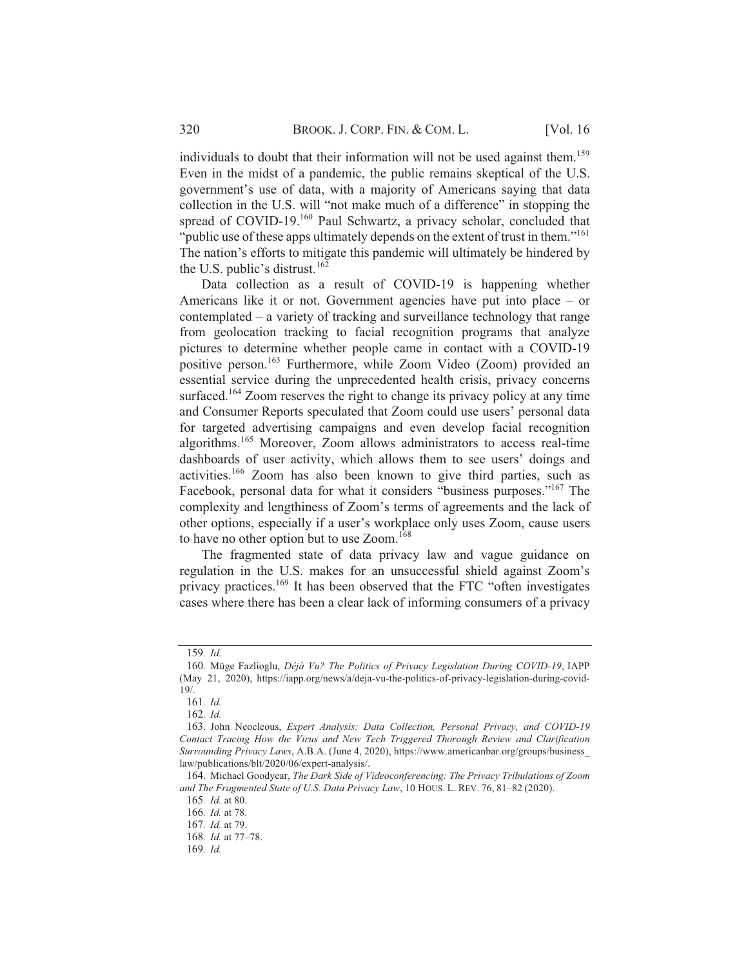individuals to doubt that their information will not be used against them.<sup>159</sup> Even in the midst of a pandemic, the public remains skeptical of the U.S. government's use of data, with a majority of Americans saying that data collection in the U.S. will "not make much of a difference" in stopping the spread of COVID-19.<sup>160</sup> Paul Schwartz, a privacy scholar, concluded that "public use of these apps ultimately depends on the extent of trust in them."<sup>161</sup> The nation's efforts to mitigate this pandemic will ultimately be hindered by the U.S. public's distrust.<sup>162</sup>

Data collection as a result of COVID-19 is happening whether Americans like it or not. Government agencies have put into place  $-$  or contemplated  $-$  a variety of tracking and surveillance technology that range from geolocation tracking to facial recognition programs that analyze pictures to determine whether people came in contact with a COVID-19 positive person.<sup>163</sup> Furthermore, while Zoom Video (Zoom) provided an essential service during the unprecedented health crisis, privacy concerns surfaced.<sup>164</sup> Zoom reserves the right to change its privacy policy at any time and Consumer Reports speculated that Zoom could use users' personal data for targeted advertising campaigns and even develop facial recognition algorithms.<sup>165</sup> Moreover, Zoom allows administrators to access real-time dashboards of user activity, which allows them to see users' doings and activities.<sup>166</sup> Zoom has also been known to give third parties, such as Facebook, personal data for what it considers "business purposes."<sup>167</sup> The complexity and lengthiness of Zoom's terms of agreements and the lack of other options, especially if a user's workplace only uses Zoom, cause users to have no other option but to use Zoom.<sup>168</sup>

The fragmented state of data privacy law and vague guidance on regulation in the U.S. makes for an unsuccessful shield against Zoom's privacy practices.<sup>169</sup> It has been observed that the FTC "often investigates cases where there has been a clear lack of informing consumers of a privacy

<sup>159.</sup> Id.

<sup>160.</sup> Müge Fazlioglu, Déjà Vu? The Politics of Privacy Legislation During COVID-19, IAPP (May 21, 2020), https://iapp.org/news/a/deja-vu-the-politics-of-privacy-legislation-during-covid- $19/$ .

<sup>161.</sup> Id.

 $162.$  *Id.* 

<sup>163.</sup> John Neocleous, Expert Analysis: Data Collection, Personal Privacy, and COVID-19 Contact Tracing How the Virus and New Tech Triggered Thorough Review and Clarification *Surrounding Privacy Laws, A.B.A. (June 4, 2020), https://www.americanbar.org/groups/business* law/publications/blt/2020/06/expert-analysis/.

<sup>164.</sup> Michael Goodyear, The Dark Side of Videoconferencing: The Privacy Tribulations of Zoom and The Fragmented State of U.S. Data Privacy Law, 10 HOUS. L. REV. 76, 81-82 (2020).

<sup>165.</sup> *Id.* at 80.

<sup>166.</sup> *Id.* at 78.

<sup>167.</sup> *Id.* at 79.

<sup>168.</sup> *Id.* at 77-78.

<sup>169.</sup> Id.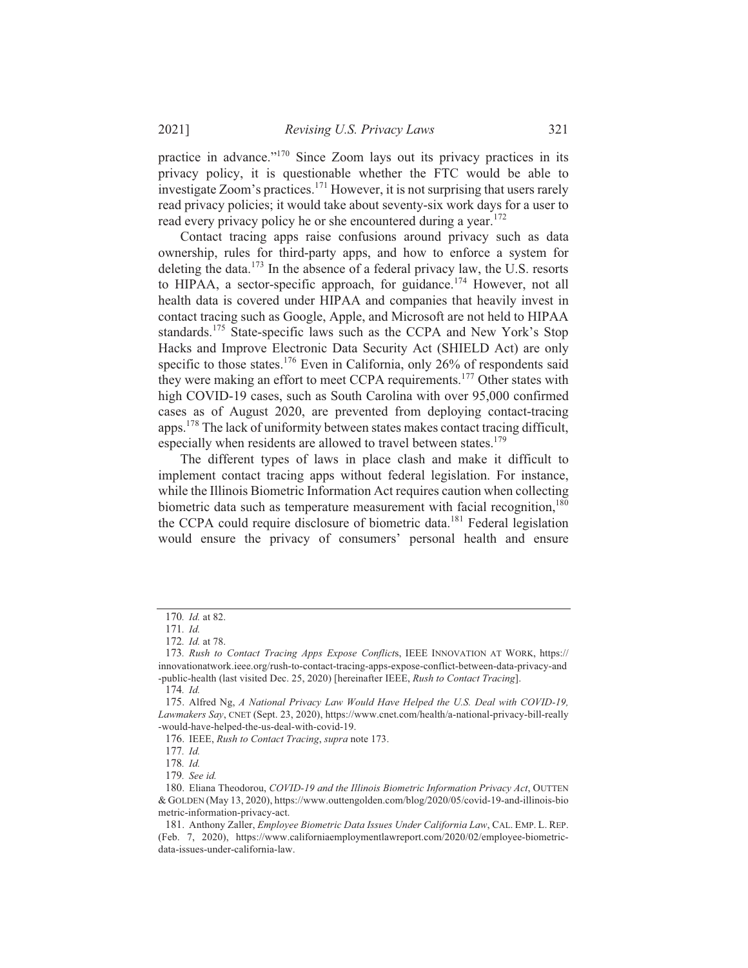practice in advance."<sup>170</sup> Since Zoom lays out its privacy practices in its privacy policy, it is questionable whether the FTC would be able to investigate Zoom's practices.<sup>171</sup> However, it is not surprising that users rarely read privacy policies; it would take about seventy-six work days for a user to read every privacy policy he or she encountered during a year.<sup>172</sup>

Contact tracing apps raise confusions around privacy such as data ownership, rules for third-party apps, and how to enforce a system for deleting the data.<sup>173</sup> In the absence of a federal privacy law, the U.S. resorts to HIPAA, a sector-specific approach, for guidance.<sup>174</sup> However, not all health data is covered under HIPAA and companies that heavily invest in contact tracing such as Google, Apple, and Microsoft are not held to HIPAA standards.<sup>175</sup> State-specific laws such as the CCPA and New York's Stop Hacks and Improve Electronic Data Security Act (SHIELD Act) are only specific to those states.<sup>176</sup> Even in California, only 26% of respondents said they were making an effort to meet CCPA requirements.<sup>177</sup> Other states with high COVID-19 cases, such as South Carolina with over 95,000 confirmed cases as of August 2020, are prevented from deploying contact-tracing apps.<sup>178</sup> The lack of uniformity between states makes contact tracing difficult, especially when residents are allowed to travel between states.<sup>179</sup>

The different types of laws in place clash and make it difficult to implement contact tracing apps without federal legislation. For instance, while the Illinois Biometric Information Act requires caution when collecting biometric data such as temperature measurement with facial recognition,  $180$ the CCPA could require disclosure of biometric data.<sup>181</sup> Federal legislation would ensure the privacy of consumers' personal health and ensure

<sup>170.</sup> Id. at 82.

<sup>171.</sup> Id.

<sup>172.</sup> *Id.* at 78.

<sup>173.</sup> Rush to Contact Tracing Apps Expose Conflicts, IEEE INNOVATION AT WORK, https:// innovationatwork.ieee.org/rush-to-contact-tracing-apps-expose-conflict-between-data-privacy-and -public-health (last visited Dec. 25, 2020) [hereinafter IEEE, Rush to Contact Tracing].

<sup>174.</sup> Id.

<sup>175.</sup> Alfred Ng, A National Privacy Law Would Have Helped the U.S. Deal with COVID-19, *Lawmakers Say*, CNET (Sept. 23, 2020), https://www.cnet.com/health/a-national-privacy-bill-really -would-have-helped-the-us-deal-with-covid-19.

<sup>176.</sup> IEEE, Rush to Contact Tracing, supra note 173.

<sup>177.</sup> Id.

<sup>178.</sup> Id.

<sup>179.</sup> See id.

<sup>180.</sup> Eliana Theodorou, COVID-19 and the Illinois Biometric Information Privacy Act, OUTTEN  $&$  GOLDEN (May 13, 2020), https://www.outtengolden.com/blog/2020/05/covid-19-and-illinois-bio metric-information-privacy-act.

<sup>181.</sup> Anthony Zaller, *Employee Biometric Data Issues Under California Law*, CAL. EMP. L. REP. (Feb. 7, 2020), https://www.californiaemploymentlawreport.com/2020/02/employee-biometricdata-issues-under-california-law.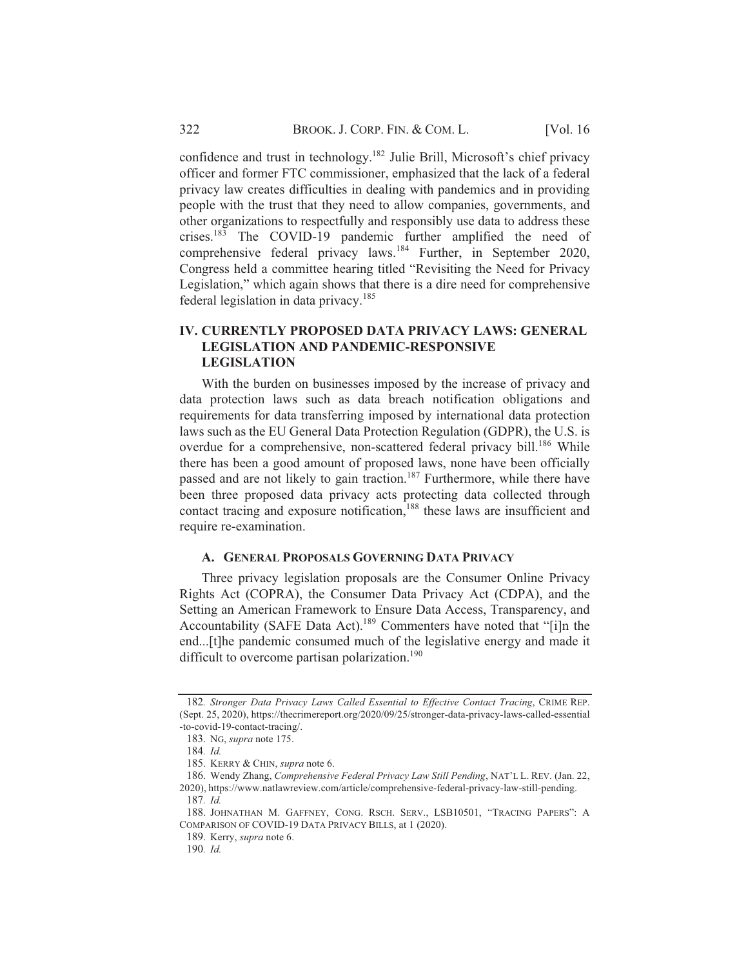confidence and trust in technology.<sup>182</sup> Julie Brill, Microsoft's chief privacy officer and former FTC commissioner, emphasized that the lack of a federal privacy law creates difficulties in dealing with pandemics and in providing people with the trust that they need to allow companies, governments, and other organizations to respectfully and responsibly use data to address these crises.<sup>183</sup> The COVID-19 pandemic further amplified the need of comprehensive federal privacy laws.<sup>184</sup> Further, in September 2020, Congress held a committee hearing titled "Revisiting the Need for Privacy Legislation," which again shows that there is a dire need for comprehensive federal legislation in data privacy.<sup>185</sup>

## **IV. CURRENTLY PROPOSED DATA PRIVACY LAWS: GENERAL LEGISLATION AND PANDEMIC-RESPONSIVE LEGISLATION**

With the burden on businesses imposed by the increase of privacy and data protection laws such as data breach notification obligations and requirements for data transferring imposed by international data protection laws such as the EU General Data Protection Regulation (GDPR), the U.S. is overdue for a comprehensive, non-scattered federal privacy bill.<sup>186</sup> While there has been a good amount of proposed laws, none have been officially passed and are not likely to gain traction.<sup>187</sup> Furthermore, while there have been three proposed data privacy acts protecting data collected through contact tracing and exposure notification,<sup>188</sup> these laws are insufficient and require re-examination.

# A. GENERAL PROPOSALS GOVERNING DATA PRIVACY

Three privacy legislation proposals are the Consumer Online Privacy Rights Act (COPRA), the Consumer Data Privacy Act (CDPA), and the Setting an American Framework to Ensure Data Access, Transparency, and Accountability (SAFE Data Act).<sup>189</sup> Commenters have noted that "[i]n the end... [t]he pandemic consumed much of the legislative energy and made it difficult to overcome partisan polarization.<sup>190</sup>

<sup>182.</sup> Stronger Data Privacy Laws Called Essential to Effective Contact Tracing, CRIME REP.  $(S$ ept. 25, 2020), https://thecrimereport.org/2020/09/25/stronger-data-privacy-laws-called-essential -to-covid-19-contact-tracing/.

<sup>183.</sup> NG, supra note 175.

<sup>184.</sup> Id.

<sup>185.</sup> KERRY & CHIN, supra note 6.

<sup>186.</sup> Wendy Zhang, Comprehensive Federal Privacy Law Still Pending, NAT'L L. REV. (Jan. 22, 2020), https://www.natlawreview.com/article/comprehensive-federal-privacy-law-still-pending.

<sup>187.</sup> Id.

<sup>188.</sup> JOHNATHAN M. GAFFNEY, CONG. RSCH. SERV., LSB10501, "TRACING PAPERS": A COMPARISON OF COVID-19 DATA PRIVACY BILLS, at 1 (2020).

<sup>189.</sup> Kerry, *supra* note 6.

<sup>190.</sup> Id.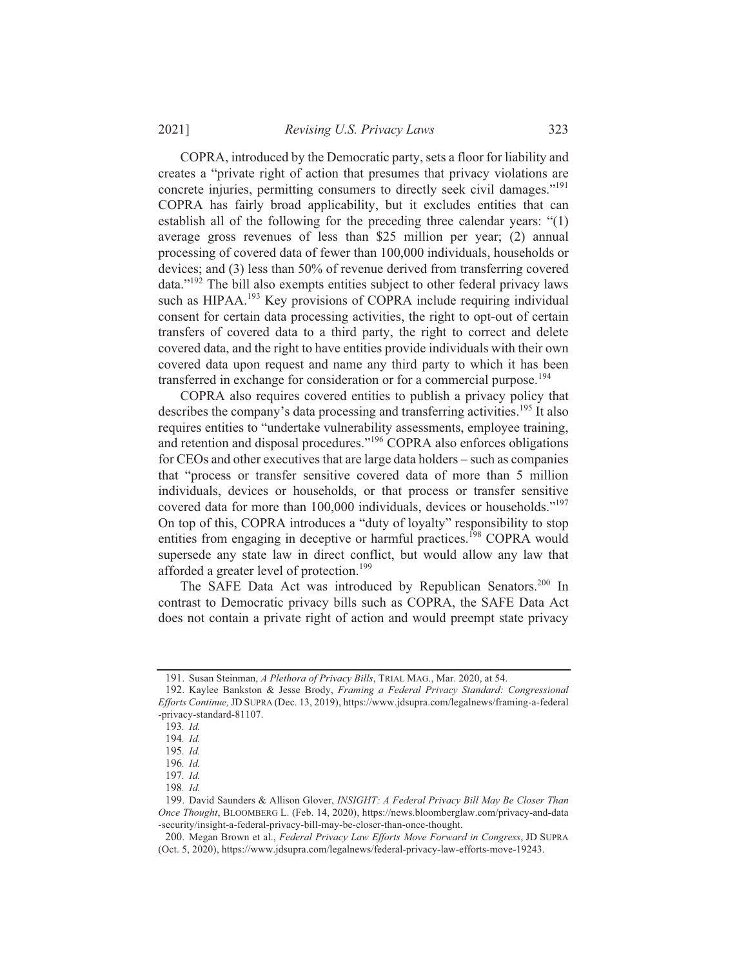Revising U.S. Privacy Laws

COPRA, introduced by the Democratic party, sets a floor for liability and creates a "private right of action that presumes that privacy violations are concrete injuries, permitting consumers to directly seek civil damages."<sup>191</sup> COPRA has fairly broad applicability, but it excludes entities that can establish all of the following for the preceding three calendar years: " $(1)$ average gross revenues of less than \$25 million per year; (2) annual processing of covered data of fewer than 100,000 individuals, households or devices; and (3) less than 50% of revenue derived from transferring covered data."<sup>192</sup> The bill also exempts entities subject to other federal privacy laws such as HIPAA.<sup>193</sup> Key provisions of COPRA include requiring individual consent for certain data processing activities, the right to opt-out of certain transfers of covered data to a third party, the right to correct and delete covered data, and the right to have entities provide individuals with their own covered data upon request and name any third party to which it has been transferred in exchange for consideration or for a commercial purpose.<sup>194</sup>

COPRA also requires covered entities to publish a privacy policy that describes the company's data processing and transferring activities.<sup>195</sup> It also requires entities to "undertake vulnerability assessments, employee training, and retention and disposal procedures."<sup>196</sup> COPRA also enforces obligations for CEOs and other executives that are large data holders – such as companies that "process or transfer sensitive covered data of more than 5 million individuals, devices or households, or that process or transfer sensitive covered data for more than 100,000 individuals, devices or households."<sup>197</sup> On top of this, COPRA introduces a "duty of loyalty" responsibility to stop entities from engaging in deceptive or harmful practices.<sup>198</sup> COPRA would supersede any state law in direct conflict, but would allow any law that afforded a greater level of protection.<sup>199</sup>

The SAFE Data Act was introduced by Republican Senators.<sup>200</sup> In contrast to Democratic privacy bills such as COPRA, the SAFE Data Act does not contain a private right of action and would preempt state privacy

<sup>191.</sup> Susan Steinman, A Plethora of Privacy Bills, TRIAL MAG., Mar. 2020, at 54.

<sup>192.</sup> Kaylee Bankston & Jesse Brody, Framing a Federal Privacy Standard: Congressional *Efforts Continue, JD SUPRA (Dec. 13, 2019), https://www.jdsupra.com/legalnews/framing-a-federal* -privacy-standard-81107.

<sup>193.</sup> Id.

<sup>194.</sup> Id.

<sup>195.</sup> Id.

<sup>196.</sup> Id. 197. Id.

<sup>198.</sup> Id.

<sup>199.</sup> David Saunders & Allison Glover, INSIGHT: A Federal Privacy Bill May Be Closer Than Once Thought, BLOOMBERG L. (Feb. 14, 2020), https://news.bloomberglaw.com/privacy-and-data -security/insight-a-federal-privacy-bill-may-be-closer-than-once-thought.

<sup>200.</sup> Megan Brown et al., Federal Privacy Law Efforts Move Forward in Congress, JD SUPRA  $(Oct. 5, 2020)$ , https://www.jdsupra.com/legalnews/federal-privacy-law-efforts-move-19243.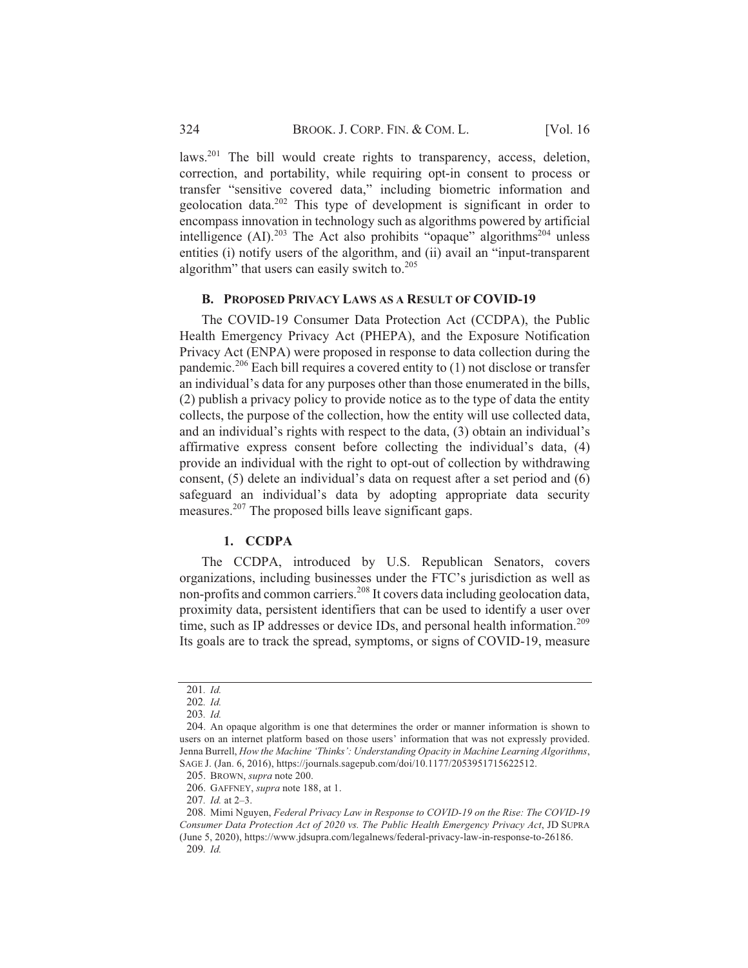laws.<sup>201</sup> The bill would create rights to transparency, access, deletion, correction, and portability, while requiring opt-in consent to process or transfer "sensitive covered data," including biometric information and geolocation data.<sup>202</sup> This type of development is significant in order to encompass innovation in technology such as algorithms powered by artificial intelligence (AI).<sup>203</sup> The Act also prohibits "opaque" algorithms<sup>204</sup> unless entities (i) notify users of the algorithm, and (ii) avail an "input-transparent algorithm" that users can easily switch to.<sup>205</sup>

#### **B. PROPOSED PRIVACY LAWS AS A RESULT OF COVID-19**

The COVID-19 Consumer Data Protection Act (CCDPA), the Public Health Emergency Privacy Act (PHEPA), and the Exposure Notification Privacy Act (ENPA) were proposed in response to data collection during the pandemic.<sup>206</sup> Each bill requires a covered entity to (1) not disclose or transfer an individual's data for any purposes other than those enumerated in the bills, (2) publish a privacy policy to provide notice as to the type of data the entity collects, the purpose of the collection, how the entity will use collected data, and an individual's rights with respect to the data,  $(3)$  obtain an individual's affirmative express consent before collecting the individual's data, (4) provide an individual with the right to opt-out of collection by withdrawing consent,  $(5)$  delete an individual's data on request after a set period and  $(6)$ safeguard an individual's data by adopting appropriate data security measures.<sup>207</sup> The proposed bills leave significant gaps.

#### 1. CCDPA

The CCDPA, introduced by U.S. Republican Senators, covers organizations, including businesses under the FTC's jurisdiction as well as non-profits and common carriers.<sup>208</sup> It covers data including geolocation data, proximity data, persistent identifiers that can be used to identify a user over time, such as IP addresses or device IDs, and personal health information.<sup>209</sup> Its goals are to track the spread, symptoms, or signs of COVID-19, measure

206. GAFFNEY, *supra* note 188, at 1.

<sup>201.</sup> Id.

<sup>202.</sup> Id.

<sup>203.</sup> Id.

<sup>204.</sup> An opaque algorithm is one that determines the order or manner information is shown to users on an internet platform based on those users' information that was not expressly provided. Jenna Burrell, *How the Machine 'Thinks': Understanding Opacity in Machine Learning Algorithms*, SAGE J. (Jan. 6, 2016), https://journals.sagepub.com/doi/10.1177/2053951715622512.

<sup>205.</sup> BROWN, *supra* note 200.

<sup>207.</sup> *Id.* at 2-3.

<sup>208.</sup> Mimi Nguyen, Federal Privacy Law in Response to COVID-19 on the Rise: The COVID-19 Consumer Data Protection Act of 2020 vs. The Public Health Emergency Privacy Act, JD SUPRA (June 5, 2020), https://www.jdsupra.com/legalnews/federal-privacy-law-in-response-to-26186. 209. Id.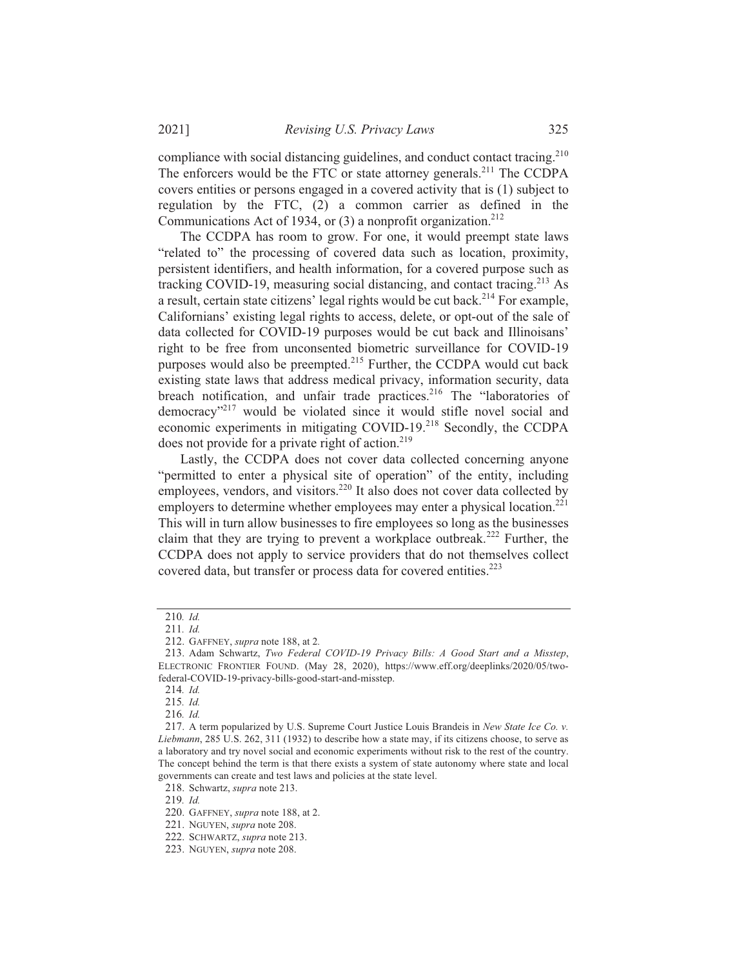compliance with social distancing guidelines, and conduct contact tracing.<sup>210</sup> The enforcers would be the FTC or state attorney generals.<sup>211</sup> The CCDPA covers entities or persons engaged in a covered activity that is (1) subject to regulation by the FTC,  $(2)$  a common carrier as defined in the Communications Act of 1934, or  $(3)$  a nonprofit organization.<sup>212</sup>

The CCDPA has room to grow. For one, it would preempt state laws "related to" the processing of covered data such as location, proximity, persistent identifiers, and health information, for a covered purpose such as tracking COVID-19, measuring social distancing, and contact tracing.<sup>213</sup> As a result, certain state citizens' legal rights would be cut back.<sup>214</sup> For example, Californians' existing legal rights to access, delete, or opt-out of the sale of data collected for COVID-19 purposes would be cut back and Illinoisans' right to be free from unconsented biometric surveillance for COVID-19 purposes would also be preempted.<sup>215</sup> Further, the CCDPA would cut back existing state laws that address medical privacy, information security, data breach notification, and unfair trade practices.<sup>216</sup> The "laboratories of democracy"<sup>217</sup> would be violated since it would stifle novel social and economic experiments in mitigating COVID-19.<sup>218</sup> Secondly, the CCDPA does not provide for a private right of action.<sup>219</sup>

Lastly, the CCDPA does not cover data collected concerning anyone "permitted to enter a physical site of operation" of the entity, including employees, vendors, and visitors.<sup>220</sup> It also does not cover data collected by employers to determine whether employees may enter a physical location.<sup>221</sup> This will in turn allow businesses to fire employees so long as the businesses claim that they are trying to prevent a workplace outbreak.<sup>222</sup> Further, the CCDPA does not apply to service providers that do not themselves collect covered data, but transfer or process data for covered entities.<sup>223</sup>

<sup>210.</sup> Id.

<sup>211.</sup> Id.

<sup>212.</sup> GAFFNEY, *supra* note 188, at 2.

<sup>213.</sup> Adam Schwartz, Two Federal COVID-19 Privacy Bills: A Good Start and a Misstep, ELECTRONIC FRONTIER FOUND. (May 28, 2020), https://www.eff.org/deeplinks/2020/05/twofederal-COVID-19-privacy-bills-good-start-and-misstep.

<sup>214.</sup> Id.

<sup>215.</sup> Id.

<sup>216.</sup> Id.

<sup>217.</sup> A term popularized by U.S. Supreme Court Justice Louis Brandeis in New State Ice Co. v.  $Liebmann$ ,  $285$  U.S.  $262$ ,  $311$  ( $1932$ ) to describe how a state may, if its citizens choose, to serve as a laboratory and try novel social and economic experiments without risk to the rest of the country. The concept behind the term is that there exists a system of state autonomy where state and local governments can create and test laws and policies at the state level.

<sup>218.</sup> Schwartz, *supra* note 213.

<sup>219.</sup> Id.

<sup>220.</sup> GAFFNEY, *supra* note 188, at 2.

<sup>221.</sup> NGUYEN, *supra* note 208.

<sup>222.</sup> SCHWARTZ, supra note 213.

<sup>223.</sup> NGUYEN, *supra* note 208.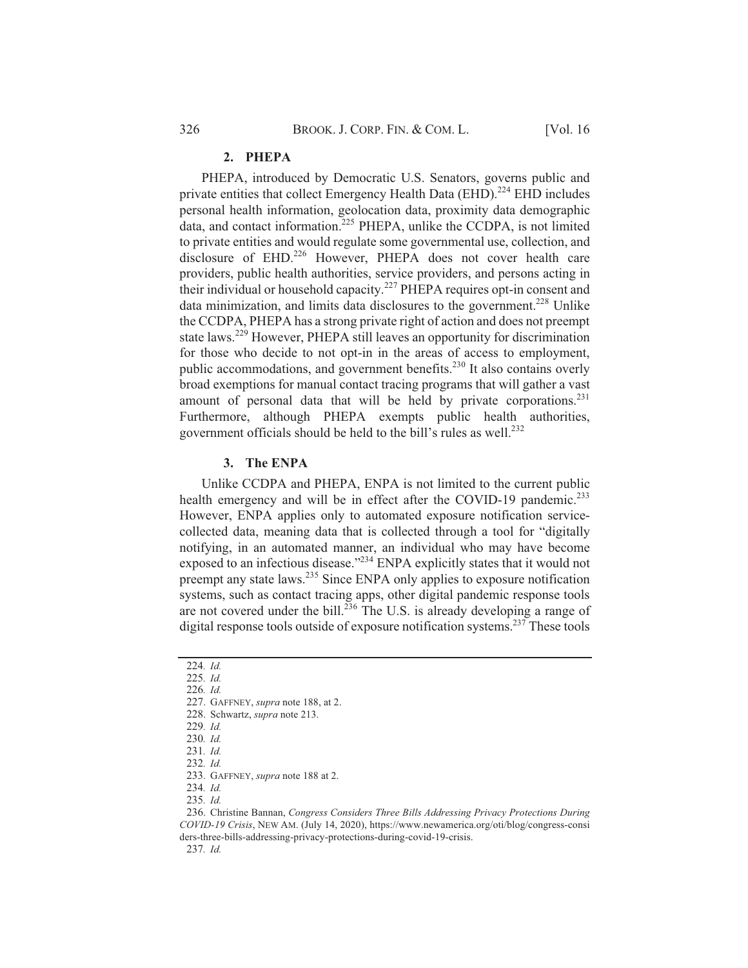#### 2. PHEPA

PHEPA, introduced by Democratic U.S. Senators, governs public and private entities that collect Emergency Health Data (EHD).<sup>224</sup> EHD includes personal health information, geolocation data, proximity data demographic data, and contact information.<sup>225</sup> PHEPA, unlike the CCDPA, is not limited to private entities and would regulate some governmental use, collection, and disclosure of EHD.<sup>226</sup> However, PHEPA does not cover health care providers, public health authorities, service providers, and persons acting in their individual or household capacity.<sup>227</sup> PHEPA requires opt-in consent and data minimization, and limits data disclosures to the government.<sup>228</sup> Unlike the CCDPA, PHEPA has a strong private right of action and does not preempt state laws.<sup>229</sup> However, PHEPA still leaves an opportunity for discrimination for those who decide to not opt-in in the areas of access to employment, public accommodations, and government benefits.<sup>230</sup> It also contains overly broad exemptions for manual contact tracing programs that will gather a vast amount of personal data that will be held by private corporations.<sup>231</sup> Furthermore, although PHEPA exempts public health authorities, government officials should be held to the bill's rules as well.<sup>232</sup>

# **3.** The ENPA

Unlike CCDPA and PHEPA, ENPA is not limited to the current public health emergency and will be in effect after the COVID-19 pandemic.<sup>233</sup> However, ENPA applies only to automated exposure notification servicecollected data, meaning data that is collected through a tool for "digitally notifying, in an automated manner, an individual who may have become exposed to an infectious disease." $^{234}$  ENPA explicitly states that it would not preempt any state laws.<sup>235</sup> Since ENPA only applies to exposure notification systems, such as contact tracing apps, other digital pandemic response tools are not covered under the bill.<sup>236</sup> The U.S. is already developing a range of digital response tools outside of exposure notification systems.<sup>237</sup> These tools

234. Id.

<sup>224.</sup> Id.

<sup>225.</sup> Id.

<sup>226.</sup> Id.

<sup>227.</sup> GAFFNEY, *supra* note 188, at 2.

<sup>228.</sup> Schwartz, *supra* note 213.

<sup>229.</sup> Id.

<sup>230.</sup> Id.

<sup>231.</sup> Id.

<sup>232.</sup> Id.

<sup>233.</sup> GAFFNEY, *supra* note 188 at 2.

<sup>235.</sup> Id.

<sup>236.</sup> Christine Bannan, Congress Considers Three Bills Addressing Privacy Protections During COVID-19 Crisis, NEW AM. (July 14, 2020), https://www.newamerica.org/oti/blog/congress-consi ders-three-bills-addressing-privacy-protections-during-covid-19-crisis.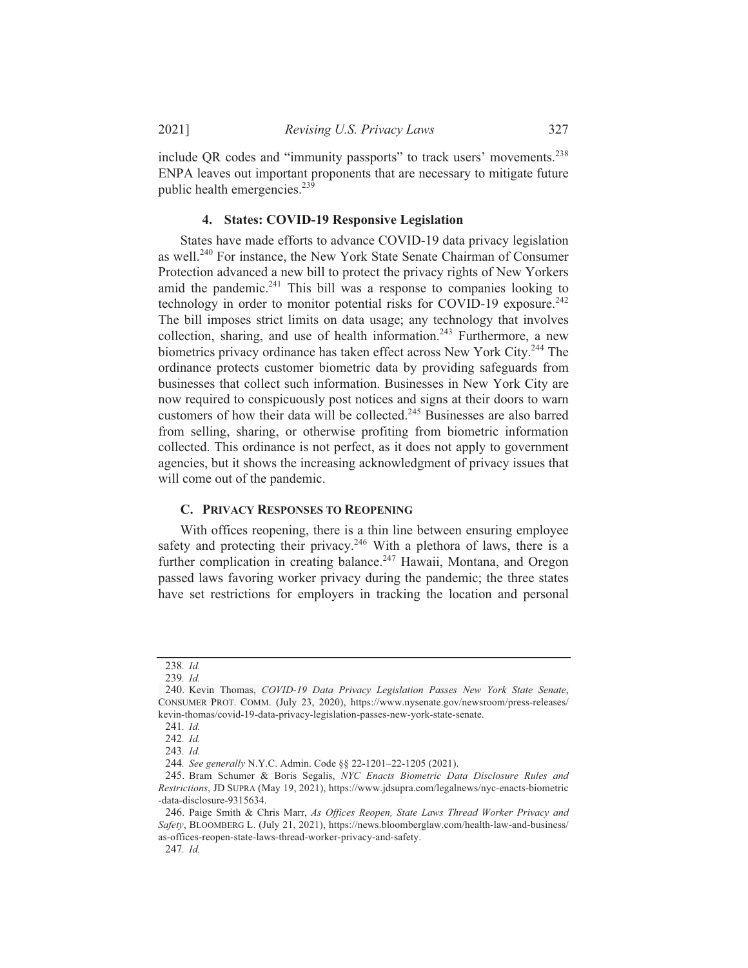include QR codes and "immunity passports" to track users' movements.<sup>238</sup> ENPA leaves out important proponents that are necessary to mitigate future public health emergencies. $23\overline{9}$ 

#### **4.** States: COVID-19 Responsive Legislation

States have made efforts to advance COVID-19 data privacy legislation as well.<sup>240</sup> For instance, the New York State Senate Chairman of Consumer Protection advanced a new bill to protect the privacy rights of New Yorkers amid the pandemic.<sup>241</sup> This bill was a response to companies looking to technology in order to monitor potential risks for COVID-19 exposure.<sup>242</sup> The bill imposes strict limits on data usage; any technology that involves collection, sharing, and use of health information.<sup>243</sup> Furthermore, a new biometrics privacy ordinance has taken effect across New York City.<sup>244</sup> The ordinance protects customer biometric data by providing safeguards from businesses that collect such information. Businesses in New York City are now required to conspicuously post notices and signs at their doors to warn customers of how their data will be collected.<sup>245</sup> Businesses are also barred from selling, sharing, or otherwise profiting from biometric information collected. This ordinance is not perfect, as it does not apply to government agencies, but it shows the increasing acknowledgment of privacy issues that will come out of the pandemic.

#### **C. PRIVACY RESPONSES TO REOPENING**

With offices reopening, there is a thin line between ensuring employee safety and protecting their privacy.<sup>246</sup> With a plethora of laws, there is a further complication in creating balance.<sup>247</sup> Hawaii, Montana, and Oregon passed laws favoring worker privacy during the pandemic; the three states have set restrictions for employers in tracking the location and personal

<sup>238.</sup> Id.

<sup>239.</sup> Id.

<sup>240.</sup> Kevin Thomas, COVID-19 Data Privacy Legislation Passes New York State Senate, CONSUMER PROT. COMM. (July 23, 2020), https://www.nysenate.gov/newsroom/press-releases/ kevin-thomas/covid-19-data-privacy-legislation-passes-new-york-state-senate.

<sup>241.</sup> Id.

<sup>242.</sup> Id.

<sup>243.</sup> Id.

<sup>244.</sup> See generally N.Y.C. Admin. Code §§ 22-1201-22-1205 (2021).

<sup>245.</sup> Bram Schumer & Boris Segalis, NYC Enacts Biometric Data Disclosure Rules and Restrictions, JD SUPRA (May 19, 2021), https://www.jdsupra.com/legalnews/nyc-enacts-biometric -data-disclosure-9315634.

<sup>246.</sup> Paige Smith & Chris Marr, As Offices Reopen, State Laws Thread Worker Privacy and Safety, BLOOMBERG L. (July 21, 2021), https://news.bloomberglaw.com/health-law-and-business/ as-offices-reopen-state-laws-thread-worker-privacy-and-safety.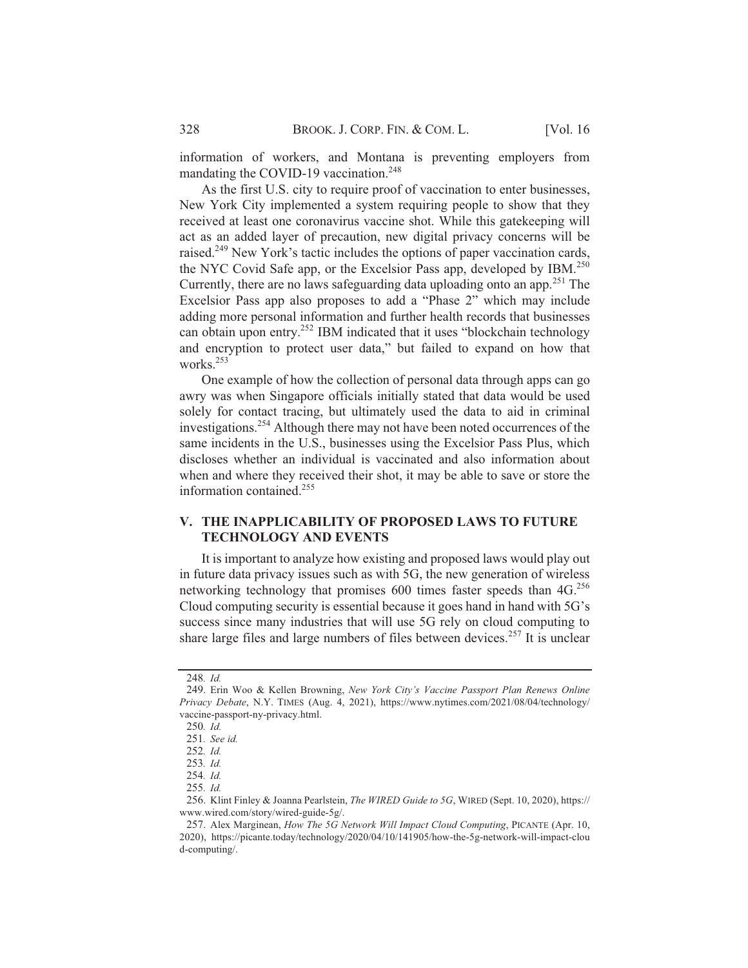information of workers, and Montana is preventing employers from mandating the COVID-19 vaccination.<sup>248</sup>

As the first U.S. city to require proof of vaccination to enter businesses, New York City implemented a system requiring people to show that they received at least one coronavirus vaccine shot. While this gatekeeping will act as an added layer of precaution, new digital privacy concerns will be raised.<sup>249</sup> New York's tactic includes the options of paper vaccination cards, the NYC Covid Safe app, or the Excelsior Pass app, developed by IBM.<sup>250</sup> Currently, there are no laws safeguarding data uploading onto an app.<sup>251</sup> The Excelsior Pass app also proposes to add a "Phase 2" which may include adding more personal information and further health records that businesses can obtain upon entry.<sup>252</sup> IBM indicated that it uses "blockchain technology and encryption to protect user data," but failed to expand on how that works.<sup>253</sup>

One example of how the collection of personal data through apps can go awry was when Singapore officials initially stated that data would be used solely for contact tracing, but ultimately used the data to aid in criminal investigations.<sup>254</sup> Although there may not have been noted occurrences of the same incidents in the U.S., businesses using the Excelsior Pass Plus, which discloses whether an individual is vaccinated and also information about when and where they received their shot, it may be able to save or store the information contained.<sup>255</sup>

#### **V. THE INAPPLICABILITY OF PROPOSED LAWS TO FUTURE TECHNOLOGY AND EVENTS**

It is important to analyze how existing and proposed laws would play out in future data privacy issues such as with 5G, the new generation of wireless networking technology that promises 600 times faster speeds than 4G.<sup>256</sup> Cloud computing security is essential because it goes hand in hand with 5G's success since many industries that will use 5G rely on cloud computing to share large files and large numbers of files between devices.<sup>257</sup> It is unclear

<sup>248.</sup> Id.

<sup>249.</sup> Erin Woo & Kellen Browning, New York City's Vaccine Passport Plan Renews Online *Privacy Debate, N.Y. TIMES (Aug. 4, 2021), https://www.nytimes.com/2021/08/04/technology/* vaccine-passport-ny-privacy.html.

<sup>250.</sup> Id.

<sup>251.</sup> See id.

<sup>252.</sup> Id.

<sup>253.</sup> Id.

<sup>254.</sup> Id.

<sup>255.</sup> Id.

<sup>256.</sup> Klint Finley & Joanna Pearlstein, *The WIRED Guide to 5G*, WIRED (Sept. 10, 2020), https:// www.wired.com/story/wired-guide-5g/.

<sup>257.</sup> Alex Marginean, How The 5G Network Will Impact Cloud Computing, PICANTE (Apr. 10, 2020), https://picante.today/technology/2020/04/10/141905/how-the-5g-network-will-impact-clou d-computing/.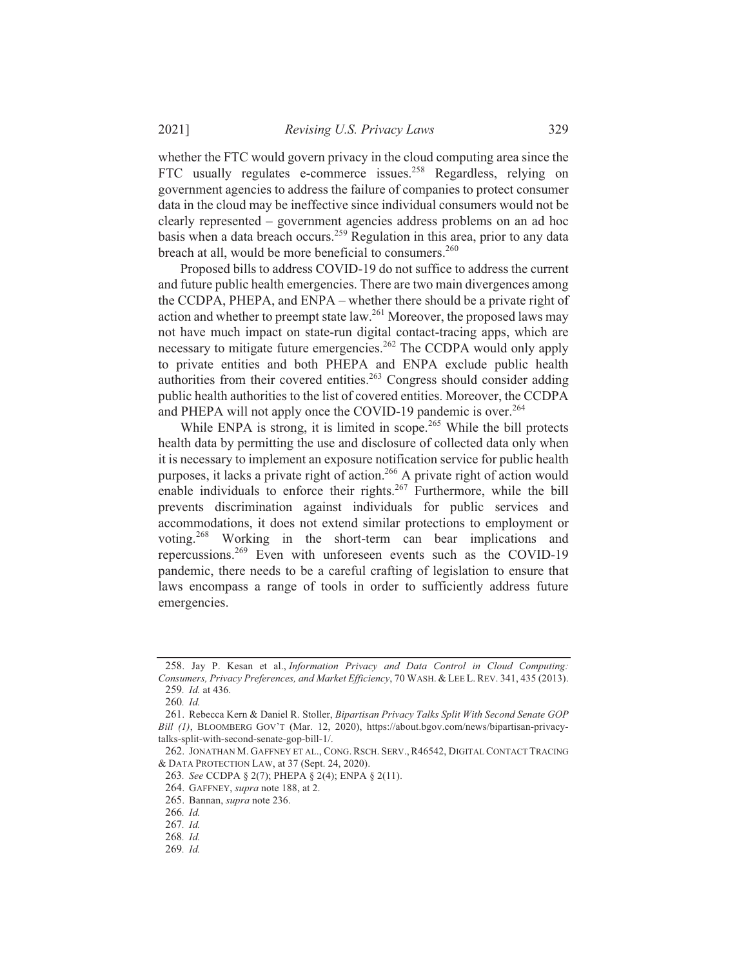whether the FTC would govern privacy in the cloud computing area since the FTC usually regulates e-commerce issues.<sup>258</sup> Regardless, relying on government agencies to address the failure of companies to protect consumer data in the cloud may be ineffective since individual consumers would not be clearly represented – government agencies address problems on an ad hoc basis when a data breach occurs.<sup>259</sup> Regulation in this area, prior to any data breach at all, would be more beneficial to consumers.<sup>260</sup>

Proposed bills to address COVID-19 do not suffice to address the current and future public health emergencies. There are two main divergences among the CCDPA, PHEPA, and ENPA – whether there should be a private right of action and whether to preempt state law.<sup>261</sup> Moreover, the proposed laws may not have much impact on state-run digital contact-tracing apps, which are necessary to mitigate future emergencies.<sup>262</sup> The CCDPA would only apply to private entities and both PHEPA and ENPA exclude public health authorities from their covered entities.<sup>263</sup> Congress should consider adding public health authorities to the list of covered entities. Moreover, the CCDPA and PHEPA will not apply once the COVID-19 pandemic is over.<sup>264</sup>

While ENPA is strong, it is limited in scope.<sup>265</sup> While the bill protects health data by permitting the use and disclosure of collected data only when it is necessary to implement an exposure notification service for public health purposes, it lacks a private right of action.<sup>266</sup> A private right of action would enable individuals to enforce their rights.<sup>267</sup> Furthermore, while the bill prevents discrimination against individuals for public services and accommodations, it does not extend similar protections to employment or voting.<sup>268</sup> Working in the short-term can bear implications and repercussions.<sup>269</sup> Even with unforeseen events such as the COVID-19 pandemic, there needs to be a careful crafting of legislation to ensure that laws encompass a range of tools in order to sufficiently address future emergencies.

<sup>258.</sup> Jay P. Kesan et al., Information Privacy and Data Control in Cloud Computing: Consumers, Privacy Preferences, and Market Efficiency, 70 WASH. & LEE L. REV. 341, 435 (2013). 259. Id. at 436.

<sup>260.</sup> Id.

<sup>261.</sup> Rebecca Kern & Daniel R. Stoller, Bipartisan Privacy Talks Split With Second Senate GOP Bill (1), BLOOMBERG GOV'T (Mar. 12, 2020), https://about.bgov.com/news/bipartisan-privacytalks-split-with-second-senate-gop-bill-1/.

<sup>262.</sup> JONATHAN M. GAFFNEY ET AL., CONG. RSCH. SERV., R46542, DIGITAL CONTACT TRACING & DATA PROTECTION LAW, at 37 (Sept. 24, 2020).

<sup>263.</sup> See CCDPA § 2(7); PHEPA § 2(4); ENPA § 2(11).

<sup>264.</sup> GAFFNEY, supra note 188, at 2.

<sup>265.</sup> Bannan, supra note 236.

<sup>266.</sup> Id.

 $267.$  *Id.* 

<sup>268.</sup> Id.

<sup>269.</sup> Id.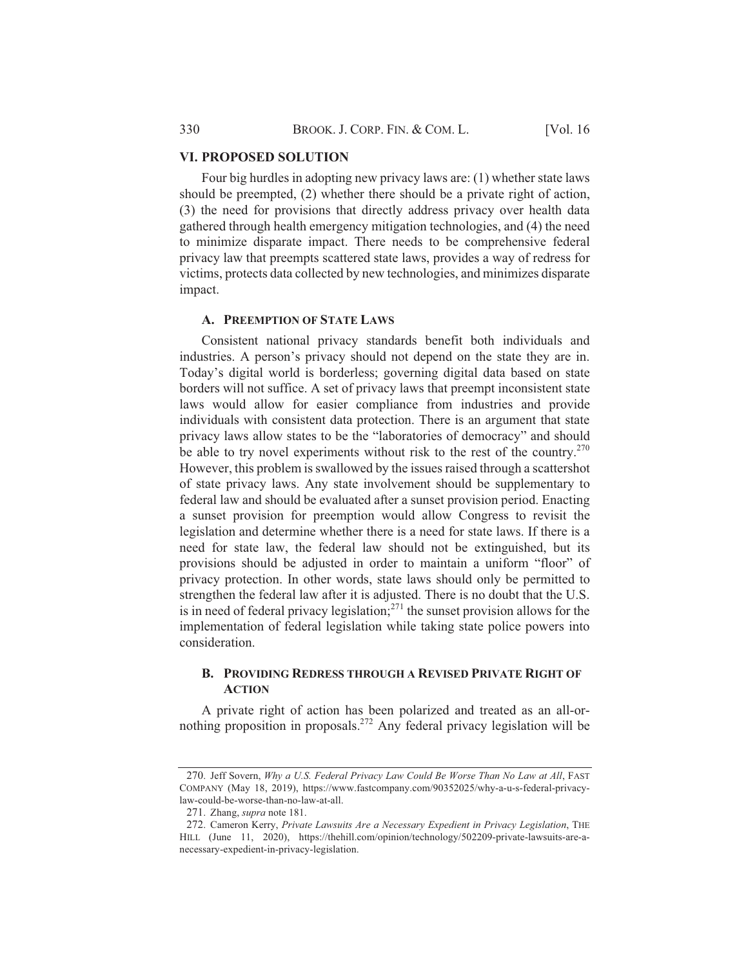## **VI. PROPOSED SOLUTION**

Four big hurdles in adopting new privacy laws are:  $(1)$  whether state laws should be preempted, (2) whether there should be a private right of action, (3) the need for provisions that directly address privacy over health data gathered through health emergency mitigation technologies, and (4) the need to minimize disparate impact. There needs to be comprehensive federal privacy law that preempts scattered state laws, provides a way of redress for victims, protects data collected by new technologies, and minimizes disparate impact.

## **A. PREEMPTION OF STATE LAWS**

Consistent national privacy standards benefit both individuals and industries. A person's privacy should not depend on the state they are in. Today's digital world is borderless; governing digital data based on state borders will not suffice. A set of privacy laws that preempt inconsistent state laws would allow for easier compliance from industries and provide individuals with consistent data protection. There is an argument that state privacy laws allow states to be the "laboratories of democracy" and should be able to try novel experiments without risk to the rest of the country.<sup>270</sup> However, this problem is swallowed by the issues raised through a scattershot of state privacy laws. Any state involvement should be supplementary to federal law and should be evaluated after a sunset provision period. Enacting a sunset provision for preemption would allow Congress to revisit the legislation and determine whether there is a need for state laws. If there is a need for state law, the federal law should not be extinguished, but its provisions should be adjusted in order to maintain a uniform "floor" of privacy protection. In other words, state laws should only be permitted to strengthen the federal law after it is adjusted. There is no doubt that the U.S. is in need of federal privacy legislation;<sup>271</sup> the sunset provision allows for the implementation of federal legislation while taking state police powers into consideration.

## **B. PROVIDING REDRESS THROUGH A REVISED PRIVATE RIGHT OF ACTION**

A private right of action has been polarized and treated as an all-ornothing proposition in proposals.<sup>272</sup> Any federal privacy legislation will be

<sup>270.</sup> Jeff Sovern, Why a U.S. Federal Privacy Law Could Be Worse Than No Law at All, FAST COMPANY (May 18, 2019), https://www.fastcompany.com/90352025/why-a-u-s-federal-privacylaw-could-be-worse-than-no-law-at-all.

<sup>271.</sup> Zhang, *supra* note 181.

<sup>272.</sup> Cameron Kerry, Private Lawsuits Are a Necessary Expedient in Privacy Legislation, THE HILL (June 11, 2020), https://thehill.com/opinion/technology/502209-private-lawsuits-are-anecessary-expedient-in-privacy-legislation.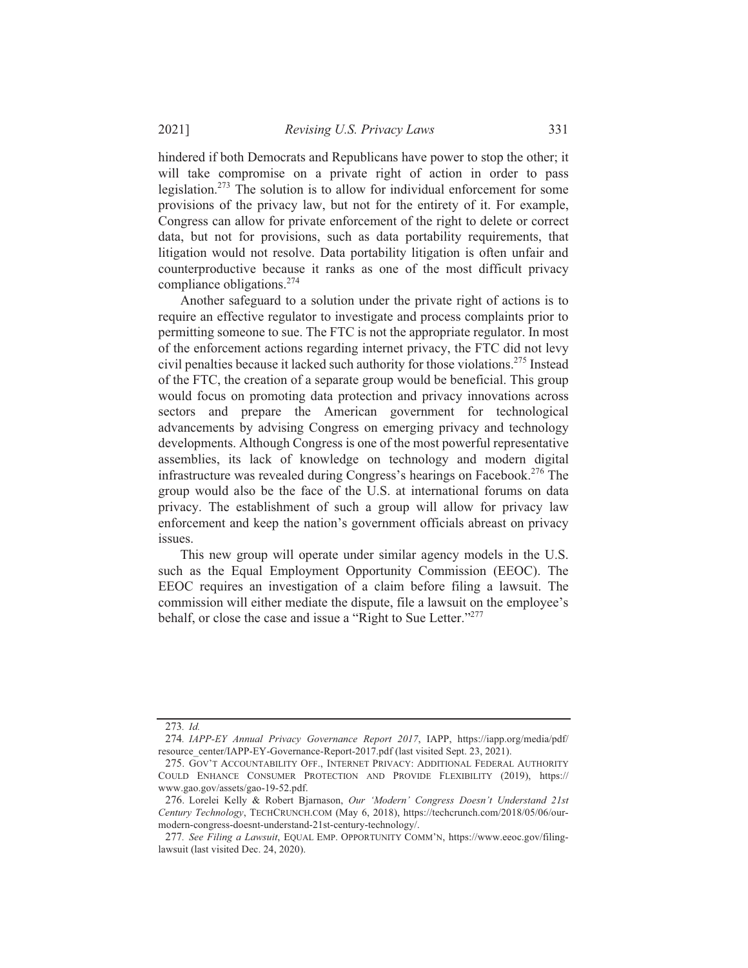hindered if both Democrats and Republicans have power to stop the other; it will take compromise on a private right of action in order to pass legislation.<sup>273</sup> The solution is to allow for individual enforcement for some provisions of the privacy law, but not for the entirety of it. For example, Congress can allow for private enforcement of the right to delete or correct data, but not for provisions, such as data portability requirements, that litigation would not resolve. Data portability litigation is often unfair and counterproductive because it ranks as one of the most difficult privacy compliance obligations. $274$ 

Another safeguard to a solution under the private right of actions is to require an effective regulator to investigate and process complaints prior to permitting someone to sue. The FTC is not the appropriate regulator. In most of the enforcement actions regarding internet privacy, the FTC did not levy civil penalties because it lacked such authority for those violations.<sup>275</sup> Instead of the FTC, the creation of a separate group would be beneficial. This group would focus on promoting data protection and privacy innovations across sectors and prepare the American government for technological advancements by advising Congress on emerging privacy and technology developments. Although Congress is one of the most powerful representative assemblies, its lack of knowledge on technology and modern digital infrastructure was revealed during Congress's hearings on Facebook.<sup>276</sup> The group would also be the face of the U.S. at international forums on data privacy. The establishment of such a group will allow for privacy law enforcement and keep the nation's government officials abreast on privacy issues.

This new group will operate under similar agency models in the U.S. such as the Equal Employment Opportunity Commission (EEOC). The EEOC requires an investigation of a claim before filing a lawsuit. The commission will either mediate the dispute, file a lawsuit on the employee's behalf, or close the case and issue a "Right to Sue Letter."<sup>277</sup>

<sup>273.</sup> Id.

<sup>274.</sup> IAPP-EY Annual Privacy Governance Report 2017, IAPP, https://iapp.org/media/pdf/ resource\_center/IAPP-EY-Governance-Report-2017.pdf (last visited Sept. 23, 2021).

<sup>275.</sup> GOV'T ACCOUNTABILITY OFF., INTERNET PRIVACY: ADDITIONAL FEDERAL AUTHORITY COULD ENHANCE CONSUMER PROTECTION AND PROVIDE FLEXIBILITY (2019), https:// www.gao.gov/assets/gao-19-52.pdf.

<sup>276.</sup> Lorelei Kelly & Robert Bjarnason, Our 'Modern' Congress Doesn't Understand 21st Century Technology, TECHCRUNCH.COM (May 6, 2018), https://techcrunch.com/2018/05/06/ourmodern-congress-doesnt-understand-21st-century-technology/.

<sup>277.</sup> See Filing a Lawsuit, EQUAL EMP. OPPORTUNITY COMM'N, https://www.eeoc.gov/filinglawsuit (last visited Dec. 24, 2020).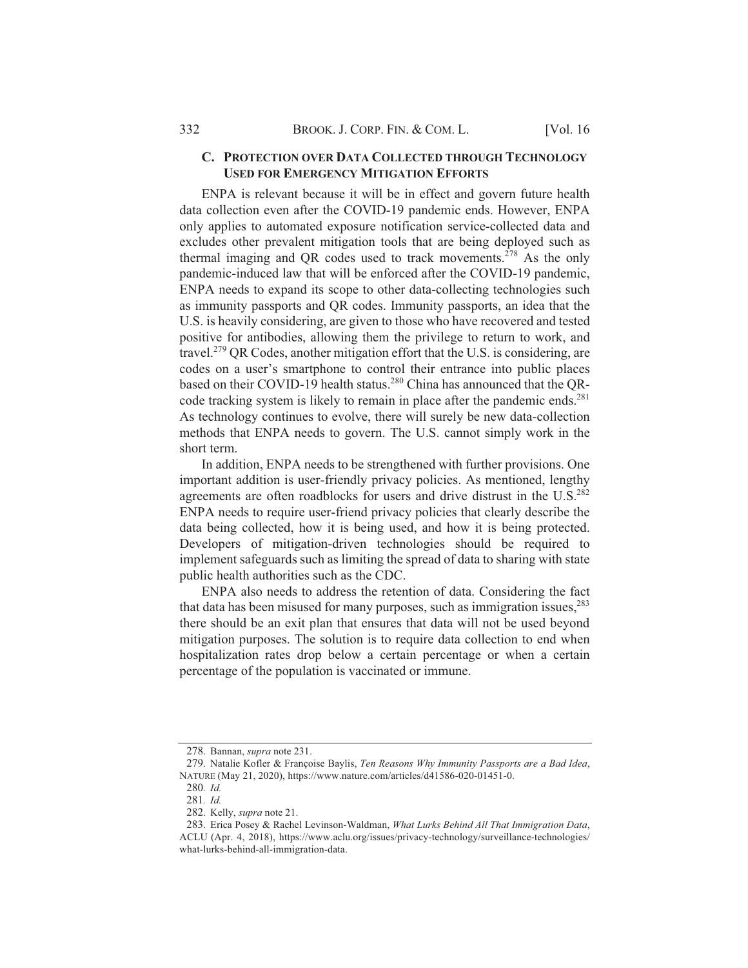#### C. PROTECTION OVER DATA COLLECTED THROUGH TECHNOLOGY **USED FOR EMERGENCY MITIGATION EFFORTS**

ENPA is relevant because it will be in effect and govern future health data collection even after the COVID-19 pandemic ends. However, ENPA only applies to automated exposure notification service-collected data and excludes other prevalent mitigation tools that are being deployed such as thermal imaging and QR codes used to track movements.<sup>278</sup> As the only pandemic-induced law that will be enforced after the COVID-19 pandemic, ENPA needs to expand its scope to other data-collecting technologies such as immunity passports and QR codes. Immunity passports, an idea that the U.S. is heavily considering, are given to those who have recovered and tested positive for antibodies, allowing them the privilege to return to work, and travel.<sup>279</sup> QR Codes, another mitigation effort that the U.S. is considering, are codes on a user's smartphone to control their entrance into public places based on their COVID-19 health status.<sup>280</sup> China has announced that the ORcode tracking system is likely to remain in place after the pandemic ends.<sup>281</sup> As technology continues to evolve, there will surely be new data-collection methods that ENPA needs to govern. The U.S. cannot simply work in the short term.

In addition, ENPA needs to be strengthened with further provisions. One important addition is user-friendly privacy policies. As mentioned, lengthy agreements are often roadblocks for users and drive distrust in the U.S.<sup>282</sup> ENPA needs to require user-friend privacy policies that clearly describe the data being collected, how it is being used, and how it is being protected. Developers of mitigation-driven technologies should be required to implement safeguards such as limiting the spread of data to sharing with state public health authorities such as the CDC.

ENPA also needs to address the retention of data. Considering the fact that data has been misused for many purposes, such as immigration issues,<sup>283</sup> there should be an exit plan that ensures that data will not be used beyond mitigation purposes. The solution is to require data collection to end when hospitalization rates drop below a certain percentage or when a certain percentage of the population is vaccinated or immune.

<sup>278.</sup> Bannan, supra note 231.

<sup>279.</sup> Natalie Kofler & Françoise Baylis, Ten Reasons Why Immunity Passports are a Bad Idea, NATURE (May 21, 2020), https://www.nature.com/articles/d41586-020-01451-0.

<sup>280.</sup> Id.

<sup>281.</sup> Id.

<sup>282.</sup> Kelly, supra note 21.

<sup>283.</sup> Erica Posey & Rachel Levinson-Waldman, What Lurks Behind All That Immigration Data, ACLU (Apr. 4, 2018), https://www.aclu.org/issues/privacy-technology/surveillance-technologies/ what-lurks-behind-all-immigration-data.